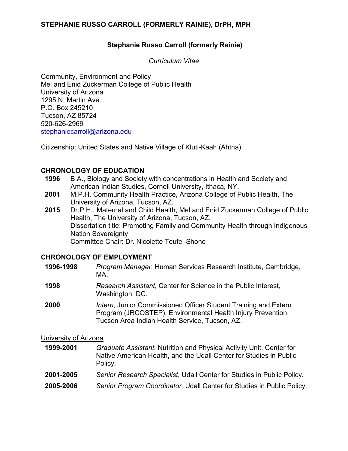#### **Stephanie Russo Carroll (formerly Rainie)**

*Curriculum Vitae*

Community, Environment and Policy Mel and Enid Zuckerman College of Public Health University of Arizona 1295 N. Martin Ave. P.O. Box 245210 Tucson, AZ 85724 520-626-2969 [stephaniecarroll@arizona.edu](mailto:stephaniecarroll@arizona.edu)

Citizenship: United States and Native Village of Kluti-Kaah (Ahtna)

#### **CHRONOLOGY OF EDUCATION**

- **1996** B.A., Biology and Society with concentrations in Health and Society and American Indian Studies, Cornell University, Ithaca, NY.
- **2001** M.P.H. Community Health Practice, Arizona College of Public Health, The University of Arizona, Tucson, AZ.
- **2015** Dr.P.H., Maternal and Child Health, Mel and Enid Zuckerman College of Public Health, The University of Arizona, Tucson, AZ. Dissertation title: Promoting Family and Community Health through Indigenous Nation Sovereignty Committee Chair: Dr. Nicolette Teufel-Shone

#### **CHRONOLOGY OF EMPLOYMENT**

| 1996-1998 | Program Manager, Human Services Research Institute, Cambridge,<br>MA.                                                                                                                    |
|-----------|------------------------------------------------------------------------------------------------------------------------------------------------------------------------------------------|
| 1998      | Research Assistant, Center for Science in the Public Interest,<br>Washington, DC.                                                                                                        |
| 2000      | <i>Intern</i> , Junior Commissioned Officer Student Training and Extern<br>Program (JRCOSTEP), Environmental Health Injury Prevention,<br>Tucson Area Indian Health Service, Tucson, AZ. |
|           |                                                                                                                                                                                          |

#### University of Arizona

| 1999-2001 | Graduate Assistant, Nutrition and Physical Activity Unit, Center for<br>Native American Health, and the Udall Center for Studies in Public<br>Policy. |
|-----------|-------------------------------------------------------------------------------------------------------------------------------------------------------|
| 2001-2005 | Senior Research Specialist, Udall Center for Studies in Public Policy.                                                                                |
| 2005-2006 | Senior Program Coordinator, Udall Center for Studies in Public Policy.                                                                                |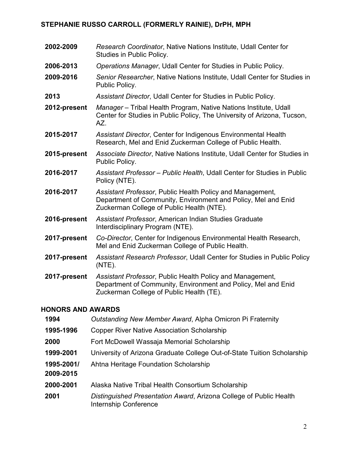**2002-2009** *Research Coordinator*, Native Nations Institute, Udall Center for Studies in Public Policy. **2006-2013** *Operations Manager*, Udall Center for Studies in Public Policy. **2009-2016** *Senior Researcher*, Native Nations Institute, Udall Center for Studies in Public Policy. **2013** *Assistant Director*, Udall Center for Studies in Public Policy. **2012-present** *Manager* – Tribal Health Program, Native Nations Institute, Udall Center for Studies in Public Policy, The University of Arizona, Tucson, AZ. **2015-2017** *Assistant Director*, Center for Indigenous Environmental Health Research, Mel and Enid Zuckerman College of Public Health. **2015-present** *Associate Director*, Native Nations Institute, Udall Center for Studies in Public Policy. **2016-2017** *Assistant Professor – Public Health*, Udall Center for Studies in Public Policy (NTE). **2016-2017** *Assistant Professor*, Public Health Policy and Management, Department of Community, Environment and Policy, Mel and Enid Zuckerman College of Public Health (NTE). **2016-present** *Assistant Professor*, American Indian Studies Graduate Interdisciplinary Program (NTE). **2017-present** *Co-Director*, Center for Indigenous Environmental Health Research, Mel and Enid Zuckerman College of Public Health. **2017-present** *Assistant Research Professor*, Udall Center for Studies in Public Policy (NTE). **2017-present** *Assistant Professor*, Public Health Policy and Management, Department of Community, Environment and Policy, Mel and Enid Zuckerman College of Public Health (TE).

## **HONORS AND AWARDS**

| 1994                    | Outstanding New Member Award, Alpha Omicron Pi Fraternity                                   |
|-------------------------|---------------------------------------------------------------------------------------------|
| 1995-1996               | <b>Copper River Native Association Scholarship</b>                                          |
| 2000                    | Fort McDowell Wassaja Memorial Scholarship                                                  |
| 1999-2001               | University of Arizona Graduate College Out-of-State Tuition Scholarship                     |
| 1995-2001/<br>2009-2015 | Ahtna Heritage Foundation Scholarship                                                       |
| 2000-2001               | Alaska Native Tribal Health Consortium Scholarship                                          |
| 2001                    | Distinguished Presentation Award, Arizona College of Public Health<br>Internship Conference |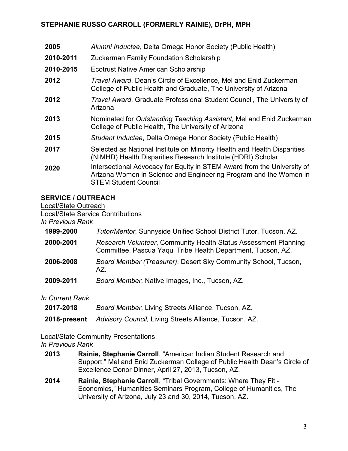| 2005      | Alumni Inductee, Delta Omega Honor Society (Public Health)                                                                                                                  |  |
|-----------|-----------------------------------------------------------------------------------------------------------------------------------------------------------------------------|--|
| 2010-2011 | <b>Zuckerman Family Foundation Scholarship</b>                                                                                                                              |  |
| 2010-2015 | <b>Ecotrust Native American Scholarship</b>                                                                                                                                 |  |
| 2012      | Travel Award, Dean's Circle of Excellence, Mel and Enid Zuckerman<br>College of Public Health and Graduate, The University of Arizona                                       |  |
| 2012      | Travel Award, Graduate Professional Student Council, The University of<br>Arizona                                                                                           |  |
| 2013      | Nominated for Outstanding Teaching Assistant, Mel and Enid Zuckerman<br>College of Public Health, The University of Arizona                                                 |  |
| 2015      | Student Inductee, Delta Omega Honor Society (Public Health)                                                                                                                 |  |
| 2017      | Selected as National Institute on Minority Health and Health Disparities<br>(NIMHD) Health Disparities Research Institute (HDRI) Scholar                                    |  |
| 2020      | Intersectional Advocacy for Equity in STEM Award from the University of<br>Arizona Women in Science and Engineering Program and the Women in<br><b>STEM Student Council</b> |  |

## **SERVICE / OUTREACH**

Local/State Outreach

Local/State Service Contributions

## *In Previous Rank*

| 1999-2000 | Tutor/Mentor, Sunnyside Unified School District Tutor, Tucson, AZ. |
|-----------|--------------------------------------------------------------------|
|-----------|--------------------------------------------------------------------|

- **2000-2001** *Research Volunteer*, Community Health Status Assessment Planning Committee, Pascua Yaqui Tribe Health Department, Tucson, AZ.
- **2006-2008** *Board Member (Treasurer)*, Desert Sky Community School, Tucson, AZ.
- **2009-2011** *Board Member*, Native Images, Inc., Tucson, AZ.

*In Current Rank*

| 2017-2018 | Board Member, Living Streets Alliance, Tucson, AZ. |
|-----------|----------------------------------------------------|
|-----------|----------------------------------------------------|

**2018-present** *Advisory Council,* Living Streets Alliance, Tucson, AZ.

# Local/State Community Presentations

## *In Previous Rank*

- **2013 Rainie, Stephanie Carroll**, "American Indian Student Research and Support," Mel and Enid Zuckerman College of Public Health Dean's Circle of Excellence Donor Dinner, April 27, 2013, Tucson, AZ.
- **2014 Rainie, Stephanie Carroll**, "Tribal Governments: Where They Fit Economics," Humanities Seminars Program, College of Humanities, The University of Arizona, July 23 and 30, 2014, Tucson, AZ.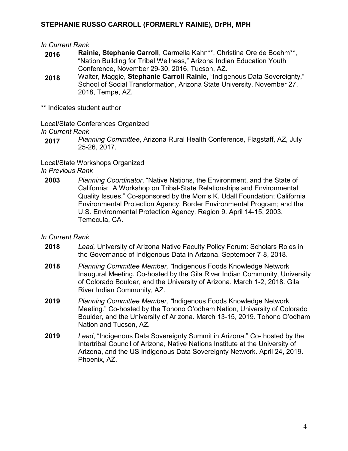#### *In Current Rank*

- **2016 Rainie, Stephanie Carroll**, Carmella Kahn\*\*, Christina Ore de Boehm\*\*, "Nation Building for Tribal Wellness," Arizona Indian Education Youth Conference, November 29-30, 2016, Tucson, AZ.
- **2018** Walter, Maggie, **Stephanie Carroll Rainie**, "Indigenous Data Sovereignty," School of Social Transformation, Arizona State University, November 27, 2018, Tempe, AZ.

\*\* Indicates student author

Local/State Conferences Organized *In Current Rank*

**2017** *Planning Committee*, Arizona Rural Health Conference, Flagstaff, AZ, July 25-26, 2017.

Local/State Workshops Organized

- *In Previous Rank*
- **2003** *Planning Coordinator*, "Native Nations, the Environment, and the State of California: A Workshop on Tribal-State Relationships and Environmental Quality Issues." Co-sponsored by the Morris K. Udall Foundation; California Environmental Protection Agency, Border Environmental Program; and the U.S. Environmental Protection Agency, Region 9. April 14-15, 2003. Temecula, CA.

- **2018** *Lead,* University of Arizona Native Faculty Policy Forum: Scholars Roles in the Governance of Indigenous Data in Arizona. September 7-8, 2018.
- **2018** *Planning Committee Member, "*Indigenous Foods Knowledge Network Inaugural Meeting*.* Co-hosted by the Gila River Indian Community, University of Colorado Boulder, and the University of Arizona. March 1-2, 2018. Gila River Indian Community, AZ.
- **2019** *Planning Committee Member, "*Indigenous Foods Knowledge Network Meeting*.*" Co-hosted by the Tohono O'odham Nation, University of Colorado Boulder, and the University of Arizona. March 13-15, 2019. Tohono O'odham Nation and Tucson, AZ.
- **2019** *Lead*, "Indigenous Data Sovereignty Summit in Arizona." Co- hosted by the Intertribal Council of Arizona, Native Nations Institute at the University of Arizona, and the US Indigenous Data Sovereignty Network. April 24, 2019. Phoenix, AZ.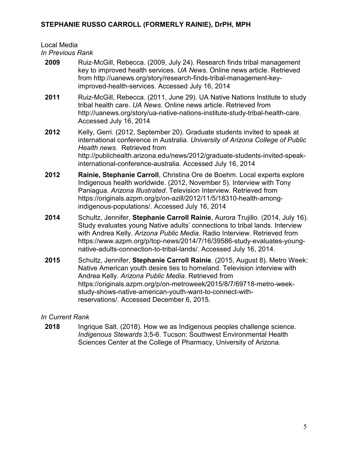# Local Media

*In Previous Rank*

**2009** Ruiz-McGill, Rebecca. (2009, July 24). Research finds tribal management key to improved health services. *UA News.* Online news article. Retrieved from http://uanews.org/story/research-finds-tribal-management-keyimproved-health-services. Accessed July 16, 2014 **2011** Ruiz-McGill, Rebecca. (2011, June 29). UA Native Nations Institute to study tribal health care. *UA News*. Online news article. Retrieved from http://uanews.org/story/ua-native-nations-institute-study-tribal-health-care. Accessed July 16, 2014 **2012** Kelly, Gerri. (2012, September 20). Graduate students invited to speak at international conference in Australia. *University of Arizona College of Public Health news*. Retrieved from http://publichealth.arizona.edu/news/2012/graduate-students-invited-speakinternational-conference-australia. Accessed July 16, 2014 **2012 Rainie, Stephanie Carroll**, Christina Ore de Boehm. Local experts explore Indigenous health worldwide. (2012, November 5). Interview with Tony Paniagua. *Arizona Illustrated*. Television Interview. Retrieved from https://originals.azpm.org/p/on-azill/2012/11/5/18310-health-amongindigenous-populations/. Accessed July 16, 2014 **2014** Schultz, Jennifer, **Stephanie Carroll Rainie**, Aurora Trujillo. (2014, July 16). Study evaluates young Native adults' connections to tribal lands. Interview with Andrea Kelly. *Arizona Public Media*. Radio Interview. Retrieved from [https://www.azpm.org/p/top-news/2014/7/16/39586-study-evaluates-young](https://mail.catnet.arizona.edu/owa/redir.aspx?C=5fS8AmWhrkakG4EALG6T7uG6icZwddEInddrKJgtzT_05FL9EDxB8Y6XH9_XeWfxTc5phbkTwNI.&URL=https%3a%2f%2fwww.azpm.org%2fp%2ftop-news%2f2014%2f7%2f16%2f39586-study-evaluates-young-native-adults-connection-to-tribal-lands%2f)[native-adults-connection-to-tribal-lands/.](https://mail.catnet.arizona.edu/owa/redir.aspx?C=5fS8AmWhrkakG4EALG6T7uG6icZwddEInddrKJgtzT_05FL9EDxB8Y6XH9_XeWfxTc5phbkTwNI.&URL=https%3a%2f%2fwww.azpm.org%2fp%2ftop-news%2f2014%2f7%2f16%2f39586-study-evaluates-young-native-adults-connection-to-tribal-lands%2f) Accessed July 16, 2014. **2015** Schultz, Jennifer, **Stephanie Carroll Rainie**. (2015, August 8). Metro Week: Native American youth desire ties to homeland. Television interview with Andrea Kelly. *Arizona Public Media*. Retrieved from https://originals.azpm.org/p/on-metroweek/2015/8/7/69718-metro-weekstudy-shows-native-american-youth-want-to-connect-withreservations/. Accessed December 6, 2015.

# *In Current Rank*

**2018** Ingrique Salt. (2018). How we as Indigenous peoples challenge science. *Indigenous Stewards* 3;5-6. Tucson: Southwest Environmental Health Sciences Center at the College of Pharmacy, University of Arizona.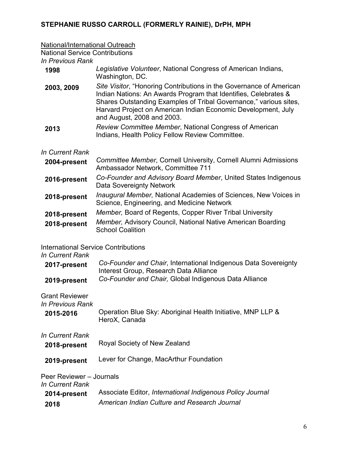#### National/International Outreach

National Service Contributions

*In Previous Rank*

| 1998            | Legislative Volunteer, National Congress of American Indians,<br>Washington, DC.                                                                                                                                                                                                                           |
|-----------------|------------------------------------------------------------------------------------------------------------------------------------------------------------------------------------------------------------------------------------------------------------------------------------------------------------|
| 2003, 2009      | Site Visitor, "Honoring Contributions in the Governance of American<br>Indian Nations: An Awards Program that Identifies, Celebrates &<br>Shares Outstanding Examples of Tribal Governance," various sites,<br>Harvard Project on American Indian Economic Development, July<br>and August, 2008 and 2003. |
| 2013            | Review Committee Member, National Congress of American<br>Indians, Health Policy Fellow Review Committee.                                                                                                                                                                                                  |
| In Current Rank |                                                                                                                                                                                                                                                                                                            |
| 2004-present    | <b>Committee Member, Cornell University, Cornell Alumni Admissions</b><br>Ambassador Network, Committee 711                                                                                                                                                                                                |
| 2016-present    | Co-Founder and Advisory Board Member, United States Indigenous                                                                                                                                                                                                                                             |

- Data Sovereignty Network **2018-present** *Inaugural Member,* National Academies of Sciences, New Voices in Science, Engineering, and Medicine Network
- **2018-present** *Member,* Board of Regents, Copper River Tribal University
- **2018-present** *Member,* Advisory Council, National Native American Boarding School Coalition

International Service Contributions

# *In Current Rank*

| 2017-present | Co-Founder and Chair, International Indigenous Data Sovereignty |
|--------------|-----------------------------------------------------------------|
|              | Interest Group, Research Data Alliance                          |
| 2019-present | Co-Founder and Chair, Global Indigenous Data Alliance           |

Grant Reviewer *In Previous Rank*

| 11 I GVIUUS I VAIIN        |                                                             |
|----------------------------|-------------------------------------------------------------|
| 2015-2016<br>HeroX, Canada | Operation Blue Sky: Aboriginal Health Initiative, MNP LLP & |

*In Current Rank*

| 2018-present | Royal Society of New Zealand |
|--------------|------------------------------|
|--------------|------------------------------|

**2019-present** Lever for Change, MacArthur Foundation

Peer Reviewer – Journals *In Current Rank*

|              | Associate Editor, International Indigenous Policy Journal |
|--------------|-----------------------------------------------------------|
| 2014-present |                                                           |
| 2018         | American Indian Culture and Research Journal              |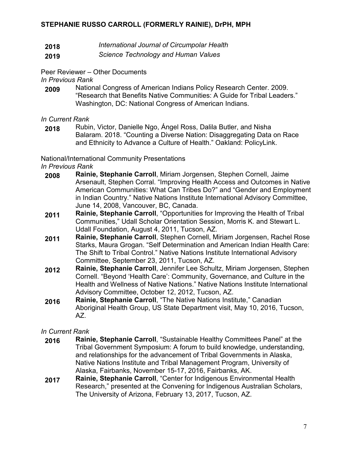- **2018** *International Journal of Circumpolar Health*
- **2019** *Science Technology and Human Values*

Peer Reviewer – Other Documents

*In Previous Rank*

**2009** National Congress of American Indians Policy Research Center. 2009. "Research that Benefits Native Communities: A Guide for Tribal Leaders." Washington, DC: National Congress of American Indians.

*In Current Rank*

**2018** Rubin, Victor, Danielle Ngo, Ángel Ross, Dalila Butler, and Nisha Balaram. 2018. "Counting a Diverse Nation: Disaggregating Data on Race and Ethnicity to Advance a Culture of Health." Oakland: PolicyLink.

National/International Community Presentations

*In Previous Rank*

- **2008 Rainie, Stephanie Carroll**, Miriam Jorgensen, Stephen Cornell, Jaime Arsenault, Stephen Corral. "Improving Health Access and Outcomes in Native American Communities: What Can Tribes Do?" and "Gender and Employment in Indian Country." Native Nations Institute International Advisory Committee, June 14, 2008, Vancouver, BC, Canada.
- **2011 Rainie, Stephanie Carroll**, "Opportunities for Improving the Health of Tribal Communities," Udall Scholar Orientation Session, Morris K. and Stewart L. Udall Foundation, August 4, 2011, Tucson, AZ.
- **2011 Rainie, Stephanie Carroll**, Stephen Cornell, Miriam Jorgensen, Rachel Rose Starks, Maura Grogan. "Self Determination and American Indian Health Care: The Shift to Tribal Control." Native Nations Institute International Advisory Committee, September 23, 2011, Tucson, AZ.
- **2012 Rainie, Stephanie Carroll**, Jennifer Lee Schultz, Miriam Jorgensen, Stephen Cornell. "Beyond 'Health Care': Community, Governance, and Culture in the Health and Wellness of Native Nations." Native Nations Institute International Advisory Committee, October 12, 2012, Tucson, AZ.
- **2016 Rainie, Stephanie Carroll**, "The Native Nations Institute," Canadian Aboriginal Health Group, US State Department visit, May 10, 2016, Tucson, AZ.

- **2016 Rainie, Stephanie Carroll**, "Sustainable Healthy Committees Panel" at the Tribal Government Symposium: A forum to build knowledge, understanding, and relationships for the advancement of Tribal Governments in Alaska, Native Nations Institute and Tribal Management Program, University of Alaska, Fairbanks, November 15-17, 2016, Fairbanks, AK.
- **2017 Rainie, Stephanie Carroll**, "Center for Indigenous Environmental Health Research," presented at the Convening for Indigenous Australian Scholars, The University of Arizona, February 13, 2017, Tucson, AZ.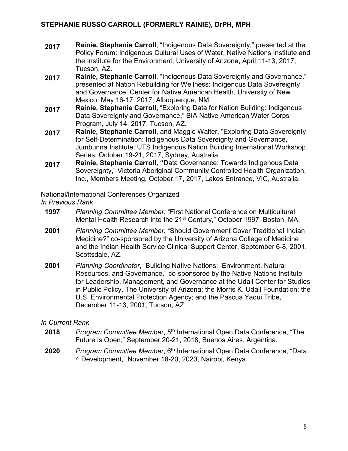- **2017 Rainie, Stephanie Carroll**, "Indigenous Data Sovereignty," presented at the Policy Forum: Indigenous Cultural Uses of Water, Native Nations Institute and the Institute for the Environment, University of Arizona, April 11-13, 2017, Tucson, AZ.
- **2017 Rainie, Stephanie Carroll**, "Indigenous Data Sovereignty and Governance," presented at Nation Rebuilding for Wellness: Indigenous Data Sovereignty and Governance, Center for Native American Health, University of New Mexico. May 16-17, 2017, Albuquerque, NM.
- **2017 Rainie, Stephanie Carroll,** "Exploring Data for Nation Building: Indigenous Data Sovereignty and Governance," BIA Native American Water Corps Program, July 14, 2017, Tucson, AZ.
- **2017 Rainie, Stephanie Carroll,** and Maggie Walter, "Exploring Data Sovereignty for Self-Determination: Indigenous Data Sovereignty and Governance," Jumbunna Institute: UTS Indigenous Nation Building International Workshop Series, October 19-21, 2017, Sydney, Australia.
- **2017 Rainie, Stephanie Carroll, "**Data Governance: Towards Indigenous Data Sovereignty," Victoria Aboriginal Community Controlled Health Organization, Inc., Members Meeting, October 17, 2017, Lakes Entrance, VIC, Australia.

National/International Conferences Organized

*In Previous Rank*

- **1997** *Planning Committee Member*, "First National Conference on Multicultural Mental Health Research into the 21<sup>st</sup> Century," October 1997, Boston, MA.
- **2001** *Planning Committee Member*, "Should Government Cover Traditional Indian Medicine?" co-sponsored by the University of Arizona College of Medicine and the Indian Health Service Clinical Support Center, September 6-8, 2001, Scottsdale, AZ.
- **2001** *Planning Coordinator*, "Building Native Nations: Environment, Natural Resources, and Governance," co-sponsored by the Native Nations Institute for Leadership, Management, and Governance at the Udall Center for Studies in Public Policy, The University of Arizona; the Morris K. Udall Foundation; the U.S. Environmental Protection Agency; and the Pascua Yaqui Tribe, December 11-13, 2001, Tucson, AZ.

- **2018** *Program Committee Member*, 5<sup>th</sup> International Open Data Conference, "The Future is Open," September 20-21, 2018, Buenos Aires, Argentina.
- **2020** *Program Committee Member*, 6th International Open Data Conference, "Data 4 Development," November 18-20, 2020, Nairobi, Kenya.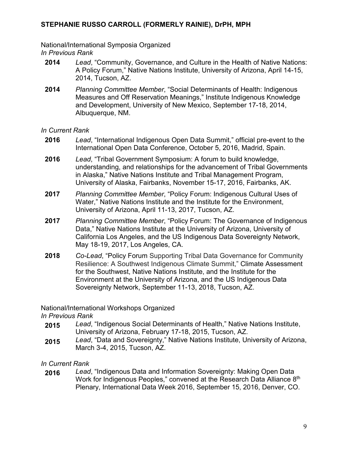National/International Symposia Organized *In Previous Rank*

- **2014** *Lead*, "Community, Governance, and Culture in the Health of Native Nations: A Policy Forum," Native Nations Institute, University of Arizona, April 14-15, 2014, Tucson, AZ.
- **2014** *Planning Committee Member*, "Social Determinants of Health: Indigenous Measures and Off Reservation Meanings," Institute Indigenous Knowledge and Development, University of New Mexico, September 17-18, 2014, Albuquerque, NM.

*In Current Rank*

- **2016** *Lead*, "International Indigenous Open Data Summit," official pre-event to the International Open Data Conference, October 5, 2016, Madrid, Spain.
- **2016** *Lead*, "Tribal Government Symposium: A forum to build knowledge, understanding, and relationships for the advancement of Tribal Governments in Alaska," Native Nations Institute and Tribal Management Program, University of Alaska, Fairbanks, November 15-17, 2016, Fairbanks, AK.
- **2017** *Planning Committee Member*, "Policy Forum: Indigenous Cultural Uses of Water," Native Nations Institute and the Institute for the Environment, University of Arizona, April 11-13, 2017, Tucson, AZ.
- **2017** *Planning Committee Member*, "Policy Forum: The Governance of Indigenous Data," Native Nations Institute at the University of Arizona, University of California Los Angeles, and the US Indigenous Data Sovereignty Network, May 18-19, 2017, Los Angeles, CA.
- **2018** *Co-Lead*, "Policy Forum Supporting Tribal Data Governance for Community Resilience: A Southwest Indigenous Climate Summit," Climate Assessment for the Southwest, Native Nations Institute, and the Institute for the Environment at the University of Arizona, and the US Indigenous Data Sovereignty Network, September 11-13, 2018, Tucson, AZ.

National/International Workshops Organized

*In Previous Rank*

- **2015** *Lead*, "Indigenous Social Determinants of Health," Native Nations Institute, University of Arizona, February 17-18, 2015, Tucson, AZ.
- **2015** *Lead*, "Data and Sovereignty," Native Nations Institute, University of Arizona, March 3-4, 2015, Tucson, AZ.

*In Current Rank*

**2016** *Lead*, "Indigenous Data and Information Sovereignty: Making Open Data Work for Indigenous Peoples," convened at the Research Data Alliance 8<sup>th</sup> Plenary, International Data Week 2016, September 15, 2016, Denver, CO.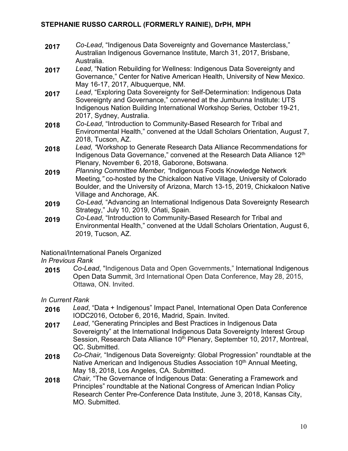- **2017** *Co-Lead*, "Indigenous Data Sovereignty and Governance Masterclass," Australian Indigenous Governance Institute, March 31, 2017, Brisbane, Australia.
- **2017** *Lead*, "Nation Rebuilding for Wellness: Indigenous Data Sovereignty and Governance," Center for Native American Health, University of New Mexico. May 16-17, 2017, Albuquerque, NM.
- **2017** *Lead*, "Exploring Data Sovereignty for Self-Determination: Indigenous Data Sovereignty and Governance," convened at the Jumbunna Institute: UTS Indigenous Nation Building International Workshop Series, October 19-21, 2017, Sydney, Australia.
- **2018** *Co-Lead*, "Introduction to Community-Based Research for Tribal and Environmental Health," convened at the Udall Scholars Orientation, August 7, 2018, Tucson, AZ.
- **2018** *Lead, "*Workshop to Generate Research Data Alliance Recommendations for Indigenous Data Governance," convened at the Research Data Alliance 12<sup>th</sup> Plenary, November 6, 2018, Gaborone, Botswana.
- **2019** *Planning Committee Member, "*Indigenous Foods Knowledge Network Meeting*,"* co-hosted by the Chickaloon Native Village, University of Colorado Boulder, and the University of Arizona, March 13-15, 2019, Chickaloon Native Village and Anchorage, AK.
- **2019** *Co-Lead,* "Advancing an International Indigenous Data Sovereignty Research Strategy," July 10, 2019, Oñati, Spain.
- **2019** *Co-Lead*, "Introduction to Community-Based Research for Tribal and Environmental Health," convened at the Udall Scholars Orientation, August 6, 2019, Tucson, AZ.

National/International Panels Organized

# *In Previous Rank*

**2015** *Co-Lead*, "Indigenous Data and Open Governments," International Indigenous Open Data Summit, 3rd International Open Data Conference, May 28, 2015, Ottawa, ON. Invited.

- **2016** *Lead*, "Data + Indigenous" Impact Panel, International Open Data Conference IODC2016, October 6, 2016, Madrid, Spain. Invited.
- **2017** *Lead*, "Generating Principles and Best Practices in Indigenous Data Sovereignty" at the International Indigenous Data Sovereignty Interest Group Session, Research Data Alliance 10<sup>th</sup> Plenary, September 10, 2017, Montreal, QC. Submitted.
- **2018** *Co-Chair,* "Indigenous Data Sovereignty: Global Progression" roundtable at the Native American and Indigenous Studies Association  $10<sup>th</sup>$  Annual Meeting, May 18, 2018, Los Angeles, CA. Submitted.
- **2018** *Chair,* "The Governance of Indigenous Data: Generating a Framework and Principles" roundtable at the National Congress of American Indian Policy Research Center Pre-Conference Data Institute, June 3, 2018, Kansas City, MO. Submitted.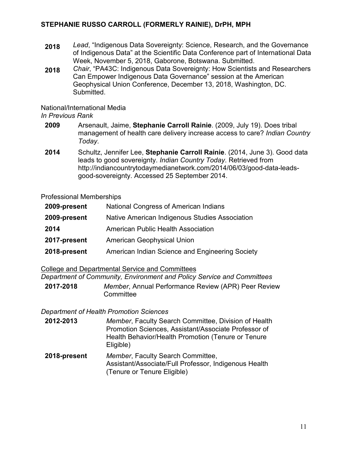- **2018** *Lead*, "Indigenous Data Sovereignty: Science, Research, and the Governance of Indigenous Data" at the Scientific Data Conference part of International Data Week, November 5, 2018, Gaborone, Botswana. Submitted.
- **2018** *Chair*, "PA43C: Indigenous Data Sovereignty: How Scientists and Researchers Can Empower Indigenous Data Governance" session at the American Geophysical Union Conference, December 13, 2018, Washington, DC. **Submitted**

National/International Media

#### *In Previous Rank*

- **2009** Arsenault, Jaime, **Stephanie Carroll Rainie**. (2009, July 19). Does tribal management of health care delivery increase access to care? *Indian Country Today*.
- **2014** Schultz, Jennifer Lee, **Stephanie Carroll Rainie**. (2014, June 3). Good data leads to good sovereignty. *Indian Country Today*. Retrieved from [http://indiancountrytodaymedianetwork.com/2014/06/03/good-data-leads](http://indiancountrytodaymedianetwork.com/2014/06/03/good-data-leads-good-sovereignty)[good-sovereignty.](http://indiancountrytodaymedianetwork.com/2014/06/03/good-data-leads-good-sovereignty) Accessed 25 September 2014.

Professional Memberships

| 2009-present | National Congress of American Indians           |
|--------------|-------------------------------------------------|
| 2009-present | Native American Indigenous Studies Association  |
| 2014         | <b>American Public Health Association</b>       |
| 2017-present | <b>American Geophysical Union</b>               |
| 2018-present | American Indian Science and Engineering Society |

## College and Departmental Service and Committees

*Department of Community, Environment and Policy Service and Committees*

**2017-2018** *Member*, Annual Performance Review (APR) Peer Review **Committee** 

## *Department of Health Promotion Sciences*

- **2012-2013** *Member*, Faculty Search Committee, Division of Health Promotion Sciences, Assistant/Associate Professor of Health Behavior/Health Promotion (Tenure or Tenure Eligible)
- **2018-present** *Member*, Faculty Search Committee, Assistant/Associate/Full Professor, Indigenous Health (Tenure or Tenure Eligible)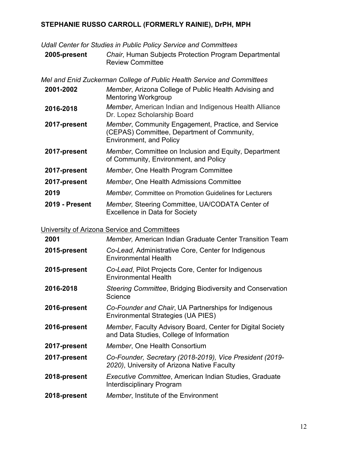*Udall Center for Studies in Public Policy Service and Committees*

**2005-present** *Chair*, Human Subjects Protection Program Departmental Review Committee

*Mel and Enid Zuckerman College of Public Health Service and Committees* **2001-2002** *Member*, Arizona College of Public Health Advising and Mentoring Workgroup **2016-2018** *Member*, American Indian and Indigenous Health Alliance Dr. Lopez Scholarship Board **2017-present** *Member*, Community Engagement, Practice, and Service (CEPAS) Committee, Department of Community, Environment, and Policy **2017-present** *Member*, Committee on Inclusion and Equity, Department of Community, Environment, and Policy **2017-present** *Member*, One Health Program Committee **2017-present** *Member*, One Health Admissions Committee **2019** *Member,* Committee on Promotion Guidelines for Lecturers **2019 - Present** *Member,* Steering Committee, UA/CODATA Center of Excellence in Data for Society

University of Arizona Service and Committees

| 2001         | <b>Member, American Indian Graduate Center Transition Team</b>                                          |
|--------------|---------------------------------------------------------------------------------------------------------|
| 2015-present | Co-Lead, Administrative Core, Center for Indigenous<br><b>Environmental Health</b>                      |
| 2015-present | Co-Lead, Pilot Projects Core, Center for Indigenous<br><b>Environmental Health</b>                      |
| 2016-2018    | Steering Committee, Bridging Biodiversity and Conservation<br>Science                                   |
| 2016-present | Co-Founder and Chair, UA Partnerships for Indigenous<br>Environmental Strategies (UA PIES)              |
| 2016-present | Member, Faculty Advisory Board, Center for Digital Society<br>and Data Studies, College of Information  |
| 2017-present | Member, One Health Consortium                                                                           |
| 2017-present | Co-Founder, Secretary (2018-2019), Vice President (2019-<br>2020), University of Arizona Native Faculty |
| 2018-present | Executive Committee, American Indian Studies, Graduate<br><b>Interdisciplinary Program</b>              |
| 2018-present | <i>Member</i> , Institute of the Environment                                                            |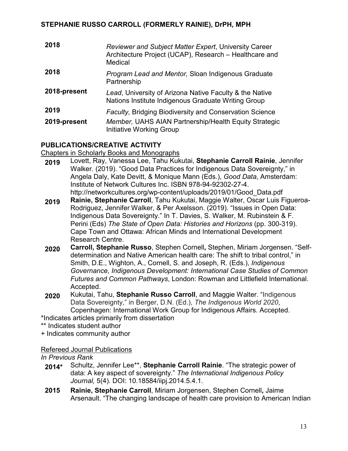| 2018         | Reviewer and Subject Matter Expert, University Career<br>Architecture Project (UCAP), Research - Healthcare and<br>Medical |
|--------------|----------------------------------------------------------------------------------------------------------------------------|
| 2018         | <b>Program Lead and Mentor, Sloan Indigenous Graduate</b><br>Partnership                                                   |
| 2018-present | Lead, University of Arizona Native Faculty & the Native<br>Nations Institute Indigenous Graduate Writing Group             |
| 2019         | <b>Faculty, Bridging Biodiversity and Conservation Science</b>                                                             |
| 2019-present | Member, UAHS AIAN Partnership/Health Equity Strategic<br>Initiative Working Group                                          |

## **PUBLICATIONS/CREATIVE ACTIVITY**

Chapters in Scholarly Books and Monographs

- **2019** Lovett, Ray, Vanessa Lee, Tahu Kukutai, **Stephanie Carroll Rainie**, Jennifer Walker. (2019). "Good Data Practices for Indigenous Data Sovereignty," in Angela Daly, Kate Devitt, & Monique Mann (Eds.), *Good Data*, Amsterdam: Institute of Network Cultures Inc. ISBN 978-94-92302-27-4. http://networkcultures.org/wp-content/uploads/2019/01/Good\_Data.pdf
- **2019 Rainie, Stephanie Carroll**, Tahu Kukutai, Maggie Walter, Oscar Luis Figueroa-Rodriguez, Jennifer Walker, & Per Axelsson. (2019). "Issues in Open Data: Indigenous Data Sovereignty." In T. Davies, S. Walker, M. Rubinstein & F. Perini (Eds) *The State of Open Data: Histories and Horizons* (pp. 300-319). Cape Town and Ottawa: African Minds and International Development Research Centre.
- **2020 Carroll, Stephanie Russo**, Stephen Cornell**,** Stephen, Miriam Jorgensen. "Selfdetermination and Native American health care: The shift to tribal control," in Smith, D.E., Wighton, A., Cornell, S. and Joseph, R. (Eds.), *Indigenous Governance, Indigenous Development: International Case Studies of Common Futures and Common Pathways*, London: Rowman and Littlefield International. Accepted.
- **2020** Kukutai, Tahu, **Stephanie Russo Carroll**, and Maggie Walter. "Indigenous Data Sovereignty," in Berger, D.N. (Ed.), *The Indigenous World 2020*, Copenhagen: International Work Group for Indigenous Affairs. Accepted.
- \*Indicates articles primarily from dissertation
- \*\* Indicates student author

+ Indicates community author

## Refereed Journal Publications

#### *In Previous Rank*

- **2014\*** Schultz, Jennifer Lee\*\*, **Stephanie Carroll Rainie**. "The strategic power of data: A key aspect of sovereignty." *The International Indigenous Policy Journal,* 5(4). DOI: 10.18584/iipj.2014.5.4.1.
- **2015 Rainie, Stephanie Carroll**, Miriam Jorgensen, Stephen Cornell**,** Jaime Arsenault. "The changing landscape of health care provision to American Indian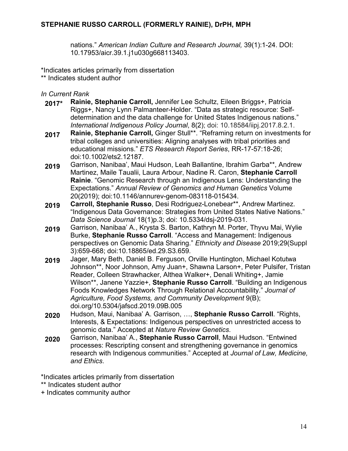nations." *American Indian Culture and Research Journal,* 39(1):1-24. DOI: 10.17953/aicr.39.1.j1u030g668113403.

\*Indicates articles primarily from dissertation

\*\* Indicates student author

*In Current Rank*

- **2017\* Rainie, Stephanie Carroll,** Jennifer Lee Schultz, Eileen Briggs+, Patricia Riggs+, Nancy Lynn Palmanteer-Holder. "Data as strategic resource: Selfdetermination and the data challenge for United States Indigenous nations." *International Indigenous Policy Journal*, 8(2); doi: 10.18584/iipj.2017.8.2.1.
- **2017 Rainie, Stephanie Carroll,** Ginger Stull\*\*. "Reframing return on investments for tribal colleges and universities: Aligning analyses with tribal priorities and educational missions." *ETS Research Report Series*, RR-17-57:18-26; doi:10.1002/ets2.12187.
- **2019** Garrison, Nanibaa', Maui Hudson, Leah Ballantine, Ibrahim Garba\*\*, Andrew Martinez, Maile Taualii, Laura Arbour, Nadine R. Caron, **Stephanie Carroll Rainie**. "Genomic Research through an Indigenous Lens: Understanding the Expectations." *Annual Review of Genomics and Human Genetics* Volume 20(2019); doi:10.1146/annurev-genom-083118-015434.
- **2019 Carroll, Stephanie Russo**, Desi Rodriguez-Lonebear\*\*, Andrew Martinez. "Indigenous Data Governance: Strategies from United States Native Nations." *Data Science Journal* 18(1)p.3; doi: [10.5334/dsj-2019-031.](http://doi.org/10.5334/dsj-2019-031)
- **2019** Garrison, Nanibaa' A., Krysta S. Barton, Kathryn M. Porter, Thyvu Mai, Wylie Burke, **Stephanie Russo Carroll**. "Access and Management: Indigenous perspectives on Genomic Data Sharing." *Ethnicity and Disease* 2019;29(Suppl 3):659-668; doi:10.18865/ed.29.S3.659*.*
- **2019** Jager, Mary Beth, Daniel B. Ferguson, Orville Huntington, Michael Kotutwa Johnson\*\*, Noor Johnson, Amy Juan+, Shawna Larson+, Peter Pulsifer, Tristan Reader, Colleen Strawhacker, Althea Walker+, Denali Whiting+, Jamie Wilson\*\*, Janene Yazzie+, **Stephanie Russo Carroll**. "Building an Indigenous Foods Knowledges Network Through Relational Accountability." *Journal of Agriculture, Food Systems, and Community Development* 9(B); doi.org/10.5304/jafscd.2019.09B.005
- **2020** Hudson, Maui, Nanibaa' A. Garrison, …, **Stephanie Russo Carroll**. "Rights, Interests, & Expectations: Indigenous perspectives on unrestricted access to genomic data." Accepted at *Nature Review Genetics*.
- **2020** Garrison, Nanibaa' A., **Stephanie Russo Carroll**, Maui Hudson. "Entwined processes: Rescripting consent and strengthening governance in genomics research with Indigenous communities." Accepted at *Journal of Law, Medicine, and Ethics*.

\*Indicates articles primarily from dissertation

- \*\* Indicates student author
- + Indicates community author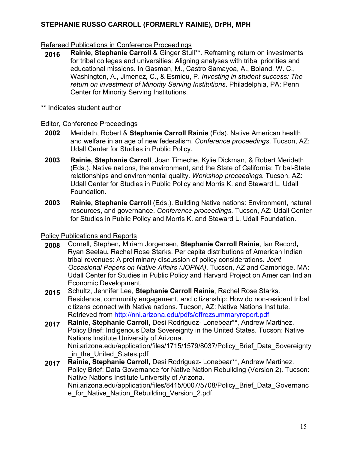## Refereed Publications in Conference Proceedings

**2016 Rainie, Stephanie Carroll** & Ginger Stull\*\*. Reframing return on investments for tribal colleges and universities: Aligning analyses with tribal priorities and educational missions. In Gasman, M., Castro Samayoa, A., Boland, W. C., Washington, A., Jimenez, C., & Esmieu, P. *Investing in student success: The return on investment of Minority Serving Institutions*. Philadelphia, PA: Penn Center for Minority Serving Institutions.

\*\* Indicates student author

#### Editor, Conference Proceedings

- **2002** Merideth, Robert & **Stephanie Carroll Rainie** (Eds). Native American health and welfare in an age of new federalism. *Conference proceedings*. Tucson, AZ: Udall Center for Studies in Public Policy.
- **2003 Rainie, Stephanie Carroll**, Joan Timeche, Kylie Dickman, & Robert Merideth (Eds.). Native nations, the environment, and the State of California: Tribal-State relationships and environmental quality. *Workshop proceedings*. Tucson, AZ: Udall Center for Studies in Public Policy and Morris K. and Steward L. Udall Foundation.
- **2003 Rainie, Stephanie Carroll** (Eds.). Building Native nations: Environment, natural resources, and governance. *Conference proceedings*. Tucson, AZ: Udall Center for Studies in Public Policy and Morris K. and Steward L. Udall Foundation.

## Policy Publications and Reports

- **2008** Cornell, Stephen**,** Miriam Jorgensen, **Stephanie Carroll Rainie**, Ian Record**,** Ryan Seelau**,** Rachel Rose Starks. Per capita distributions of American Indian tribal revenues: A preliminary discussion of policy considerations*. Joint Occasional Papers on Native Affairs (JOPNA)*. Tucson, AZ and Cambridge, MA: Udall Center for Studies in Public Policy and Harvard Project on American Indian Economic Development.
- **2015** Schultz, Jennifer Lee, **Stephanie Carroll Rainie**, Rachel Rose Starks. Residence, community engagement, and citizenship: How do non-resident tribal citizens connect with Native nations. Tucson, AZ: Native Nations Institute. Retrieved from<http://nni.arizona.edu/pdfs/offrezsummaryreport.pdf>
- **2017 Rainie, Stephanie Carroll,** Desi Rodriguez- Lonebear\*\*, Andrew Martinez. Policy Brief: Indigenous Data Sovereignty in the United States. Tucson: Native Nations Institute University of Arizona. Nni.arizona.edu/application/files/1715/1579/8037/Policy\_Brief\_Data\_Sovereignty \_in\_the\_United\_States.pdf
- **2017 Rainie, Stephanie Carroll,** Desi Rodriguez- Lonebear\*\*, Andrew Martinez. Policy Brief: Data Governance for Native Nation Rebuilding (Version 2). Tucson: Native Nations Institute University of Arizona. Nni.arizona.edu/application/files/8415/0007/5708/Policy\_Brief\_Data\_Governanc e for Native Nation Rebuilding Version 2.pdf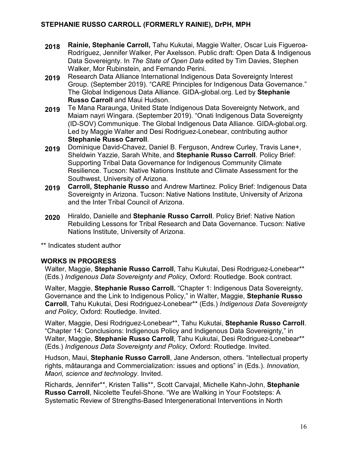- **2018 Rainie, Stephanie Carroll,** Tahu Kukutai, Maggie Walter, Oscar Luis Figueroa-Rodríguez, Jennifer Walker, Per Axelsson. Public draft: Open Data & Indigenous Data Sovereignty. In *The State of Open Data* edited by Tim Davies, Stephen Walker, Mor Rubinstein, and Fernando Perini.
- **2019** Research Data Alliance International Indigenous Data Sovereignty Interest Group. (September 2019). "CARE Principles for Indigenous Data Governance." The Global Indigenous Data Alliance. GIDA-global.org. Led by **Stephanie Russo Carroll** and Maui Hudson.
- **2019** Te Mana Raraunga, United State Indigenous Data Sovereignty Network, and Maiam nayri Wingara. (September 2019). "Onati Indigenous Data Sovereignty (ID-SOV) Communique. The Global Indigenous Data Alliance. GIDA-global.org. Led by Maggie Walter and Desi Rodriguez-Lonebear, contributing author **Stephanie Russo Carroll**.
- **2019** Dominique David-Chavez, Daniel B. Ferguson, Andrew Curley, Travis Lane+, Sheldwin Yazzie, Sarah White, and **Stephanie Russo Carroll**. Policy Brief: Supporting Tribal Data Governance for Indigenous Community Climate Resilience*.* Tucson: Native Nations Institute and Climate Assessment for the Southwest, University of Arizona.
- **2019 Carroll, Stephanie Russo** and Andrew Martinez. Policy Brief: Indigenous Data Sovereignty in Arizona. Tucson: Native Nations Institute, University of Arizona and the Inter Tribal Council of Arizona.
- **2020** Hiraldo, Danielle and **Stephanie Russo Carroll**. Policy Brief: Native Nation Rebuilding Lessons for Tribal Research and Data Governance. Tucson: Native Nations Institute, University of Arizona.

\*\* Indicates student author

# **WORKS IN PROGRESS**

Walter, Maggie, **Stephanie Russo Carroll**, Tahu Kukutai, Desi Rodriguez-Lonebear\*\* (Eds.) *Indigenous Data Sovereignty and Policy,* Oxford: Routledge. Book contract.

Walter, Maggie, **Stephanie Russo Carroll.** "Chapter 1: Indigenous Data Sovereignty, Governance and the Link to Indigenous Policy," in Walter, Maggie, **Stephanie Russo Carroll**, Tahu Kukutai, Desi Rodriguez-Lonebear\*\* (Eds.) *Indigenous Data Sovereignty and Policy,* Oxford: Routledge. Invited.

Walter, Maggie, Desi Rodriguez-Lonebear\*\*, Tahu Kukutai, **Stephanie Russo Carroll**. "Chapter 14: Conclusions: Indigenous Policy and Indigenous Data Sovereignty," in Walter, Maggie, **Stephanie Russo Carroll**, Tahu Kukutai, Desi Rodriguez-Lonebear\*\* (Eds.) *Indigenous Data Sovereignty and Policy,* Oxford: Routledge. Invited.

Hudson, Maui, **Stephanie Russo Carroll**, Jane Anderson, others. "Intellectual property rights, mātauranga and Commercialization: issues and options" in (Eds.). *Innovation, Maori, science and technology*. Invited.

Richards, Jennifer\*\*, Kristen Tallis\*\*, Scott Carvajal, Michelle Kahn-John, **Stephanie Russo Carroll**, Nicolette Teufel-Shone. "We are Walking in Your Footsteps: A Systematic Review of Strengths-Based Intergenerational Interventions in North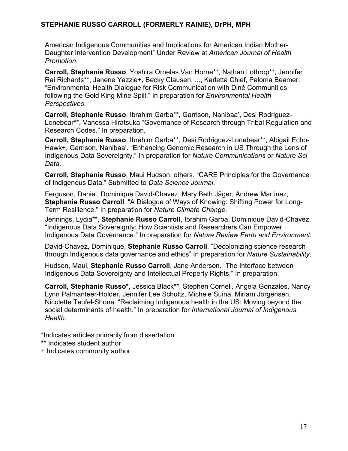American Indigenous Communities and Implications for American Indian Mother-Daughter Intervention Development" Under Review at *American Journal of Health Promotion*.

**Carroll, Stephanie Russo**, Yoshira Ornelas Van Horne\*\*, Nathan Lothrop\*\*, Jennifer Rai Richards\*\*, Janene Yazzie+, Becky Clausen, ..., Karletta Chief, Paloma Beamer. "Environmental Health Dialogue for Risk Communication with Diné Communities following the Gold King Mine Spill." In preparation for *Environmental Health Perspectives*.

**Carroll, Stephanie Russo**, Ibrahim Garba\*\*, Garrison, Nanibaa', Desi Rodriguez-Lonebear\*\*, Vanessa Hiratsuka "Governance of Research through Tribal Regulation and Research Codes." In preparation*.*

**Carroll, Stephanie Russo**, Ibrahim Garba\*\*, Desi Rodriguez-Lonebear\*\*, Abigail Echo-Hawk+, Garrison, Nanibaa'. "Enhancing Genomic Research in US Through the Lens of Indigenous Data Sovereignty." In preparation for *Nature Communications* or *Nature Sci Data*.

**Carroll, Stephanie Russo**, Maui Hudson, others. "CARE Principles for the Governance of Indigenous Data." Submitted to *Data Science Journal*.

Ferguson, Daniel, Dominique David-Chavez, Mary Beth Jäger, Andrew Martinez, **Stephanie Russo Carroll**. "A Dialogue of Ways of Knowing: Shifting Power for Long-Term Resilience." In preparation for *Nature Climate Change.*

Jennings, Lydia\*\*, **Stephanie Russo Carroll**, Ibrahim Garba, Dominique David-Chavez. "Indigenous Data Sovereignty: How Scientists and Researchers Can Empower Indigenous Data Governance." In preparation for *Nature Review Earth and Environment.*

David-Chavez, Dominique, **Stephanie Russo Carroll**. "Decolonizing science research through Indigenous data governance and ethics" In preparation for *Nature Sustainability*.

Hudson, Maui, **Stephanie Russo Carroll**, Jane Anderson. "The Interface between Indigenous Data Sovereignty and Intellectual Property Rights." In preparation.

**Carroll, Stephanie Russo\***, Jessica Black\*\*, Stephen Cornell, Angela Gonzales, Nancy Lynn Palmanteer-Holder, Jennifer Lee Schultz, Michele Suina, Miriam Jorgensen, Nicolette Teufel-Shone. "Reclaiming Indigenous health in the US: Moving beyond the social determinants of health." In preparation for *International Journal of Indigenous Health*.

\*Indicates articles primarily from dissertation

- \*\* Indicates student author
- + Indicates community author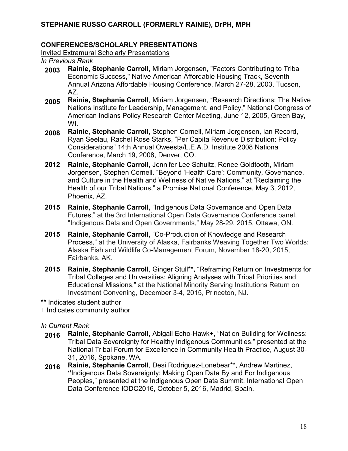#### **CONFERENCES/SCHOLARLY PRESENTATIONS**

Invited Extramural Scholarly Presentations

*In Previous Rank*

- **2003 Rainie, Stephanie Carroll**, Miriam Jorgensen, "Factors Contributing to Tribal Economic Success," Native American Affordable Housing Track, Seventh Annual Arizona Affordable Housing Conference, March 27-28, 2003, Tucson, AZ.
- **2005 Rainie, Stephanie Carroll**, Miriam Jorgensen, "Research Directions: The Native Nations Institute for Leadership, Management, and Policy," National Congress of American Indians Policy Research Center Meeting, June 12, 2005, Green Bay, WI.
- **2008 Rainie, Stephanie Carroll**, Stephen Cornell, Miriam Jorgensen, Ian Record, Ryan Seelau, Rachel Rose Starks, "Per Capita Revenue Distribution: Policy Considerations" 14th Annual Oweesta/L.E.A.D. Institute 2008 National Conference, March 19, 2008, Denver, CO.
- **2012 Rainie, Stephanie Carroll**, Jennifer Lee Schultz, Renee Goldtooth, Miriam Jorgensen, Stephen Cornell. "Beyond 'Health Care': Community, Governance, and Culture in the Health and Wellness of Native Nations," at "Reclaiming the Health of our Tribal Nations," a Promise National Conference, May 3, 2012, Phoenix, AZ.
- **2015 Rainie, Stephanie Carroll,** "Indigenous Data Governance and Open Data Futures," at the 3rd International Open Data Governance Conference panel, "Indigenous Data and Open Governments," May 28-29, 2015, Ottawa, ON.
- **2015 Rainie, Stephanie Carroll,** "Co-Production of Knowledge and Research Process," at the University of Alaska, Fairbanks Weaving Together Two Worlds: Alaska Fish and Wildlife Co-Management Forum, November 18-20, 2015, Fairbanks, AK.
- **2015 Rainie, Stephanie Carroll**, Ginger Stull\*\***,** "Reframing Return on Investments for Tribal Colleges and Universities: Aligning Analyses with Tribal Priorities and Educational Missions," at the National Minority Serving Institutions Return on Investment Convening, December 3-4, 2015, Princeton, NJ.

\*\* Indicates student author

+ Indicates community author

- **2016 Rainie, Stephanie Carroll**, Abigail Echo-Hawk+, "Nation Building for Wellness: Tribal Data Sovereignty for Healthy Indigenous Communities," presented at the National Tribal Forum for Excellence in Community Health Practice, August 30- 31, 2016, Spokane, WA.
- **2016 Rainie, Stephanie Carroll**, Desi Rodriguez-Lonebear\*\*, Andrew Martinez, **"**Indigenous Data Sovereignty: Making Open Data By and For Indigenous Peoples," presented at the Indigenous Open Data Summit, International Open Data Conference IODC2016, October 5, 2016, Madrid, Spain.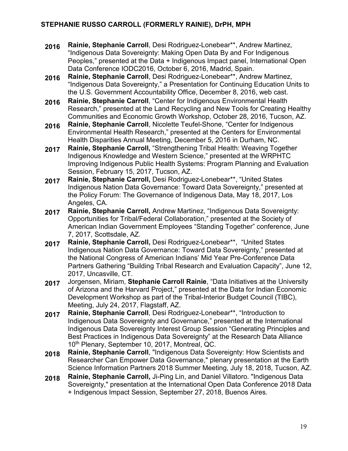- **2016 Rainie, Stephanie Carroll**, Desi Rodriguez-Lonebear\*\*, Andrew Martinez, "Indigenous Data Sovereignty: Making Open Data By and For Indigenous Peoples," presented at the Data + Indigenous Impact panel, International Open Data Conference IODC2016, October 6, 2016, Madrid, Spain.
- **2016 Rainie, Stephanie Carroll**, Desi Rodriguez-Lonebear\*\*, Andrew Martinez, "Indigenous Data Sovereignty," a Presentation for Continuing Education Units to the U.S. Government Accountability Office, December 8, 2016, web cast.
- **2016 Rainie, Stephanie Carroll**, "Center for Indigenous Environmental Health Research," presented at the Land Recycling and New Tools for Creating Healthy Communities and Economic Growth Workshop, October 28, 2016, Tucson, AZ.
- **2016 Rainie, Stephanie Carroll**, Nicolette Teufel-Shone, "Center for Indigenous Environmental Health Research," presented at the Centers for Environmental Health Disparities Annual Meeting, December 5, 2016 in Durham, NC.
- **2017 Rainie, Stephanie Carroll,** "Strengthening Tribal Health: Weaving Together Indigenous Knowledge and Western Science," presented at the WRPHTC Improving Indigenous Public Health Systems: Program Planning and Evaluation Session, February 15, 2017, Tucson, AZ.
- **2017 Rainie, Stephanie Carroll,** Desi Rodriguez-Lonebear\*\*, "United States Indigenous Nation Data Governance: Toward Data Sovereignty," presented at the Policy Forum: The Governance of Indigenous Data, May 18, 2017, Los Angeles, CA.
- **2017 Rainie, Stephanie Carroll,** Andrew Martinez, "Indigenous Data Sovereignty: Opportunities for Tribal/Federal Collaboration," presented at the Society of American Indian Government Employees "Standing Together" conference, June 7, 2017, Scottsdale, AZ.
- **2017 Rainie, Stephanie Carroll,** Desi Rodriguez-Lonebear\*\*, "United States Indigenous Nation Data Governance: Toward Data Sovereignty," presented at the National Congress of American Indians' Mid Year Pre-Conference Data Partners Gathering "Building Tribal Research and Evaluation Capacity", June 12, 2017, Uncasville, CT.
- **2017** Jorgensen, Miriam, **Stephanie Carroll Rainie**, "Data Initiatives at the University of Arizona and the Harvard Project," presented at the Data for Indian Economic Development Workshop as part of the Tribal-Interior Budget Council (TIBC), Meeting, July 24, 2017, Flagstaff, AZ.
- **2017 Rainie, Stephanie Carroll**, Desi Rodriguez-Lonebear\*\*, "Introduction to Indigenous Data Sovereignty and Governance," presented at the International Indigenous Data Sovereignty Interest Group Session "Generating Principles and Best Practices in Indigenous Data Sovereignty" at the Research Data Alliance 10<sup>th</sup> Plenary, September 10, 2017, Montreal, QC.
- **2018 Rainie, Stephanie Carroll**, "Indigenous Data Sovereignty: How Scientists and Researcher Can Empower Data Governance," plenary presentation at the Earth Science Information Partners 2018 Summer Meeting, July 18, 2018, Tucson, AZ.
- **2018 Rainie, Stephanie Carroll,** Ji-Ping Lin, and Daniel Villatoro. "Indigenous Data Sovereignty," presentation at the International Open Data Conference 2018 Data + Indigenous Impact Session, September 27, 2018, Buenos Aires.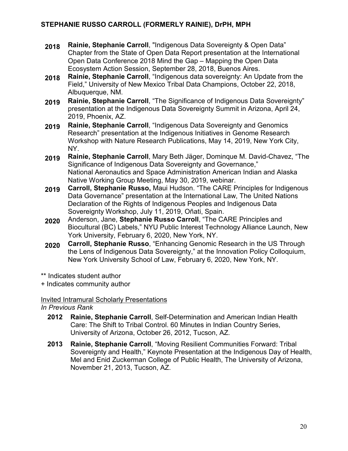- **2018 Rainie, Stephanie Carroll**, "Indigenous Data Sovereignty & Open Data" Chapter from the State of Open Data Report presentation at the International Open Data Conference 2018 Mind the Gap – Mapping the Open Data Ecosystem Action Session, September 28, 2018, Buenos Aires.
- **2018 Rainie, Stephanie Carroll**, "Indigenous data sovereignty: An Update from the Field," University of New Mexico Tribal Data Champions, October 22, 2018, Albuquerque, NM.
- **2019 Rainie, Stephanie Carroll**, "The Significance of Indigenous Data Sovereignty" presentation at the Indigenous Data Sovereignty Summit in Arizona, April 24, 2019, Phoenix, AZ.
- **2019 Rainie, Stephanie Carroll**, "Indigenous Data Sovereignty and Genomics Research" presentation at the Indigenous Initiatives in Genome Research Workshop with Nature Research Publications, May 14, 2019, New York City, NY.
- **2019 Rainie, Stephanie Carroll**, Mary Beth Jäger, Dominque M. David-Chavez, "The Significance of Indigenous Data Sovereignty and Governance," National Aeronautics and Space Administration American Indian and Alaska Native Working Group Meeting, May 30, 2019, webinar.
- **2019 Carroll, Stephanie Russo,** Maui Hudson. "The CARE Principles for Indigenous Data Governance" presentation at the International Law, The United Nations Declaration of the Rights of Indigenous Peoples and Indigenous Data Sovereignty Workshop, July 11, 2019, Oñati, Spain.
- **2020** Anderson, Jane, **Stephanie Russo Carroll**, "The CARE Principles and Biocultural (BC) Labels," NYU Public Interest Technology Alliance Launch, New York University, February 6, 2020, New York, NY.
- **2020 Carroll, Stephanie Russo**, "Enhancing Genomic Research in the US Through the Lens of Indigenous Data Sovereignty," at the Innovation Policy Colloquium, New York University School of Law, February 6, 2020, New York, NY.

\*\* Indicates student author

+ Indicates community author

Invited Intramural Scholarly Presentations

*In Previous Rank*

- **2012 Rainie, Stephanie Carroll**, Self-Determination and American Indian Health Care: The Shift to Tribal Control. 60 Minutes in Indian Country Series, University of Arizona, October 26, 2012, Tucson, AZ.
- **2013 Rainie, Stephanie Carroll**, "Moving Resilient Communities Forward: Tribal Sovereignty and Health," Keynote Presentation at the Indigenous Day of Health, Mel and Enid Zuckerman College of Public Health, The University of Arizona, November 21, 2013, Tucson, AZ.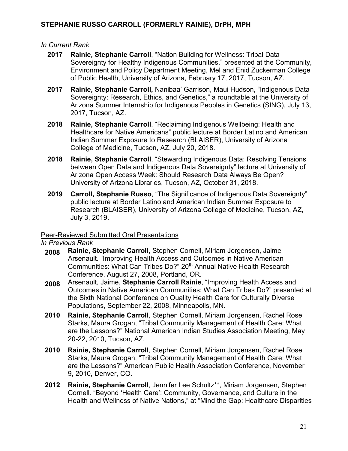#### *In Current Rank*

- **2017 Rainie, Stephanie Carroll**, "Nation Building for Wellness: Tribal Data Sovereignty for Healthy Indigenous Communities," presented at the Community, Environment and Policy Department Meeting, Mel and Enid Zuckerman College of Public Health, University of Arizona, February 17, 2017, Tucson, AZ.
- **2017 Rainie, Stephanie Carroll,** Nanibaa' Garrison, Maui Hudson, "Indigenous Data Sovereignty: Research, Ethics, and Genetics," a roundtable at the University of Arizona Summer Internship for Indigenous Peoples in Genetics (SING), July 13, 2017, Tucson, AZ.
- **2018 Rainie, Stephanie Carroll**, "Reclaiming Indigenous Wellbeing: Health and Healthcare for Native Americans" public lecture at Border Latino and American Indian Summer Exposure to Research (BLAISER), University of Arizona College of Medicine, Tucson, AZ, July 20, 2018.
- **2018 Rainie, Stephanie Carroll**, "Stewarding Indigenous Data: Resolving Tensions between Open Data and Indigenous Data Sovereignty" lecture at University of Arizona Open Access Week: Should Research Data Always Be Open? University of Arizona Libraries, Tucson, AZ, October 31, 2018.
- **2019 Carroll, Stephanie Russo**, "The Significance of Indigenous Data Sovereignty" public lecture at Border Latino and American Indian Summer Exposure to Research (BLAISER), University of Arizona College of Medicine, Tucson, AZ, July 3, 2019.

#### Peer-Reviewed Submitted Oral Presentations

*In Previous Rank*

- **2008 Rainie, Stephanie Carroll**, Stephen Cornell, Miriam Jorgensen, Jaime Arsenault. "Improving Health Access and Outcomes in Native American Communities: What Can Tribes Do?" 20<sup>th</sup> Annual Native Health Research Conference, August 27, 2008, Portland, OR.
- **2008** Arsenault, Jaime, **Stephanie Carroll Rainie**, "Improving Health Access and Outcomes in Native American Communities: What Can Tribes Do?" presented at the Sixth National Conference on Quality Health Care for Culturally Diverse Populations, September 22, 2008, Minneapolis, MN.
- **2010 Rainie, Stephanie Carroll**, Stephen Cornell, Miriam Jorgensen, Rachel Rose Starks, Maura Grogan, "Tribal Community Management of Health Care: What are the Lessons?" National American Indian Studies Association Meeting, May 20-22, 2010, Tucson, AZ.
- **2010 Rainie, Stephanie Carroll**, Stephen Cornell, Miriam Jorgensen, Rachel Rose Starks, Maura Grogan, "Tribal Community Management of Health Care: What are the Lessons?" American Public Health Association Conference, November 9, 2010, Denver, CO.
- **2012 Rainie, Stephanie Carroll**, Jennifer Lee Schultz\*\*, Miriam Jorgensen, Stephen Cornell. "Beyond 'Health Care': Community, Governance, and Culture in the Health and Wellness of Native Nations," at "Mind the Gap: Healthcare Disparities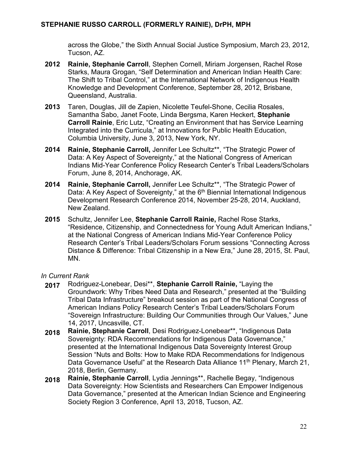across the Globe," the Sixth Annual Social Justice Symposium, March 23, 2012, Tucson, AZ.

- **2012 Rainie, Stephanie Carroll**, Stephen Cornell, Miriam Jorgensen, Rachel Rose Starks, Maura Grogan, "Self Determination and American Indian Health Care: The Shift to Tribal Control," at the International Network of Indigenous Health Knowledge and Development Conference, September 28, 2012, Brisbane, Queensland, Australia.
- **2013** Taren, Douglas, Jill de Zapien, Nicolette Teufel-Shone, Cecilia Rosales, Samantha Sabo, Janet Foote, Linda Bergsma, Karen Heckert, **Stephanie Carroll Rainie**, Eric Lutz, "Creating an Environment that has Service Learning Integrated into the Curricula," at Innovations for Public Health Education, Columbia University, June 3, 2013, New York, NY.
- **2014 Rainie, Stephanie Carroll,** Jennifer Lee Schultz\*\*, "The Strategic Power of Data: A Key Aspect of Sovereignty," at the National Congress of American Indians Mid-Year Conference Policy Research Center's Tribal Leaders/Scholars Forum, June 8, 2014, Anchorage, AK.
- **2014 Rainie, Stephanie Carroll,** Jennifer Lee Schultz\*\*, "The Strategic Power of Data: A Key Aspect of Sovereignty," at the 6<sup>th</sup> Biennial International Indigenous Development Research Conference 2014, November 25-28, 2014, Auckland, New Zealand.
- **2015** Schultz, Jennifer Lee, **Stephanie Carroll Rainie,** Rachel Rose Starks, "Residence, Citizenship, and Connectedness for Young Adult American Indians," at the National Congress of American Indians Mid-Year Conference Policy Research Center's Tribal Leaders/Scholars Forum sessions "Connecting Across Distance & Difference: Tribal Citizenship in a New Era," June 28, 2015, St. Paul, MN.

- **2017** Rodriguez-Lonebear, Desi\*\*, **Stephanie Carroll Rainie,** "Laying the Groundwork: Why Tribes Need Data and Research," presented at the "Building Tribal Data Infrastructure" breakout session as part of the National Congress of American Indians Policy Research Center's Tribal Leaders/Scholars Forum "Sovereign Infrastructure: Building Our Communities through Our Values," June 14, 2017, Uncasville, CT.
- **2018 Rainie, Stephanie Carroll**, Desi Rodriguez-Lonebear\*\*, "Indigenous Data Sovereignty: RDA Recommendations for Indigenous Data Governance," presented at the International Indigenous Data Sovereignty Interest Group Session "Nuts and Bolts: How to Make RDA Recommendations for Indigenous Data Governance Useful" at the Research Data Alliance 11<sup>th</sup> Plenary, March 21, 2018, Berlin, Germany.
- **2018 Rainie, Stephanie Carroll**, Lydia Jennings\*\*, Rachelle Begay, "Indigenous Data Sovereignty: How Scientists and Researchers Can Empower Indigenous Data Governance," presented at the American Indian Science and Engineering Society Region 3 Conference, April 13, 2018, Tucson, AZ.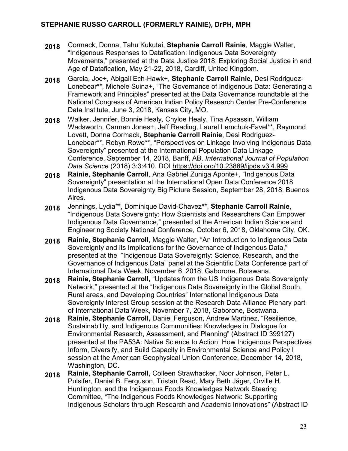- **2018** Cormack, Donna, Tahu Kukutai, **Stephanie Carroll Rainie**, Maggie Walter, "Indigenous Responses to Datafication: Indigenous Data Sovereignty Movements," presented at the Data Justice 2018: Exploring Social Justice in and Age of Datafication, May 21-22, 2018, Cardiff, United Kingdom.
- **2018** Garcia, Joe+, Abigail Ech-Hawk+, **Stephanie Carroll Rainie**, Desi Rodriguez-Lonebear\*\*, Michele Suina+, "The Governance of Indigenous Data: Generating a Framework and Principles" presented at the Data Governance roundtable at the National Congress of American Indian Policy Research Center Pre-Conference Data Institute, June 3, 2018, Kansas City, MO.
- **2018** Walker, Jennifer, Bonnie Healy, Chyloe Healy, Tina Apsassin, William Wadsworth, Carmen Jones+, Jeff Reading, Laurel Lemchuk-Favel\*\*, Raymond Lovett, Donna Cormack, **Stephanie Carroll Rainie**, Desi Rodriguez-Lonebear\*\*, Robyn Rowe\*\*, "Perspectives on Linkage Involving Indigenous Data Sovereignty" presented at the International Population Data Linkage Conference, September 14, 2018, Banff, AB. *International Journal of Population Data Science* (2018) 3:3:410. DOI <https://doi.org/10.23889/ijpds.v3i4.999>
- **2018 Rainie, Stephanie Carroll**, Ana Gabriel Zuniga Aponte+, "Indigenous Data Sovereignty" presentation at the International Open Data Conference 2018 Indigenous Data Sovereignty Big Picture Session, September 28, 2018, Buenos Aires.
- **2018** Jennings, Lydia\*\*, Dominique David-Chavez\*\*, **Stephanie Carroll Rainie**, "Indigenous Data Sovereignty: How Scientists and Researchers Can Empower Indigenous Data Governance," presented at the American Indian Science and Engineering Society National Conference, October 6, 2018, Oklahoma City, OK.
- **2018 Rainie, Stephanie Carroll**, Maggie Walter, "An Introduction to Indigenous Data Sovereignty and its Implications for the Governance of Indigenous Data," presented at the "Indigenous Data Sovereignty: Science, Research, and the Governance of Indigenous Data" panel at the Scientific Data Conference part of International Data Week, November 6, 2018, Gaborone, Botswana.
- **2018 Rainie, Stephanie Carroll,** "Updates from the US Indigenous Data Sovereignty Network," presented at the "Indigenous Data Sovereignty in the Global South, Rural areas, and Developing Countries" International Indigenous Data Sovereignty Interest Group session at the Research Data Alliance Plenary part of International Data Week, November 7, 2018, Gaborone, Bostwana.
- **2018 Rainie, Stephanie Carroll,** Daniel Ferguson, Andrew Martinez, "Resilience, Sustainability, and Indigenous Communities: Knowledges in Dialogue for Environmental Research, Assessment, and Planning" (Abstract ID 399127) presented at the PA53A: Native Science to Action: How Indigenous Perspectives Inform, Diversify, and Build Capacity in Environmental Science and Policy I session at the American Geophysical Union Conference, December 14, 2018, Washington, DC.
- **2018 Rainie, Stephanie Carroll,** Colleen Strawhacker, Noor Johnson, Peter L. Pulsifer, Daniel B. Ferguson, Tristan Read, Mary Beth Jäger, Orville H. Huntington, and the Indigenous Foods Knowledges Network Steering Committee, "The Indigenous Foods Knowledges Network: Supporting Indigenous Scholars through Research and Academic Innovations" (Abstract ID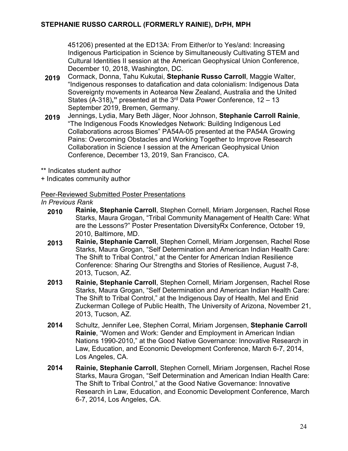451206) presented at the ED13A: From Either/or to Yes/and: Increasing Indigenous Participation in Science by Simultaneously Cultivating STEM and Cultural Identities II session at the American Geophysical Union Conference, December 10, 2018, Washington, DC.

- **2019** Cormack, Donna, Tahu Kukutai, **Stephanie Russo Carroll**, Maggie Walter, "Indigenous responses to datafication and data colonialism: Indigenous Data Sovereignty movements in Aotearoa New Zealand, Australia and the United States (A-318)**,"** presented at the 3rd Data Power Conference, 12 – 13 September 2019, Bremen, Germany.
- **2019** Jennings, Lydia, Mary Beth Jäger, Noor Johnson, **Stephanie Carroll Rainie**, "The Indigenous Foods Knowledges Network: Building Indigenous Led Collaborations across Biomes" PA54A-05 presented at the PA54A Growing Pains: Overcoming Obstacles and Working Together to Improve Research Collaboration in Science I session at the American Geophysical Union Conference, December 13, 2019, San Francisco, CA.
- \*\* Indicates student author
- + Indicates community author

## Peer-Reviewed Submitted Poster Presentations

*In Previous Rank*

- **2010 Rainie, Stephanie Carroll**, Stephen Cornell, Miriam Jorgensen, Rachel Rose Starks, Maura Grogan, "Tribal Community Management of Health Care: What are the Lessons?" Poster Presentation DiversityRx Conference, October 19, 2010, Baltimore, MD.
- **2013 Rainie, Stephanie Carroll**, Stephen Cornell, Miriam Jorgensen, Rachel Rose Starks, Maura Grogan, "Self Determination and American Indian Health Care: The Shift to Tribal Control," at the Center for American Indian Resilience Conference: Sharing Our Strengths and Stories of Resilience, August 7-8, 2013, Tucson, AZ.
- **2013 Rainie, Stephanie Carroll**, Stephen Cornell, Miriam Jorgensen, Rachel Rose Starks, Maura Grogan, "Self Determination and American Indian Health Care: The Shift to Tribal Control," at the Indigenous Day of Health, Mel and Enid Zuckerman College of Public Health, The University of Arizona, November 21, 2013, Tucson, AZ.
- **2014** Schultz, Jennifer Lee, Stephen Corral, Miriam Jorgensen, **Stephanie Carroll Rainie**, "Women and Work: Gender and Employment in American Indian Nations 1990-2010," at the Good Native Governance: Innovative Research in Law, Education, and Economic Development Conference, March 6-7, 2014, Los Angeles, CA.
- **2014 Rainie, Stephanie Carroll**, Stephen Cornell, Miriam Jorgensen, Rachel Rose Starks, Maura Grogan, "Self Determination and American Indian Health Care: The Shift to Tribal Control," at the Good Native Governance: Innovative Research in Law, Education, and Economic Development Conference, March 6-7, 2014, Los Angeles, CA.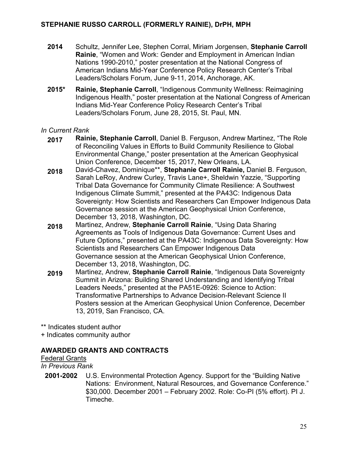- **2014** Schultz, Jennifer Lee, Stephen Corral, Miriam Jorgensen, **Stephanie Carroll Rainie**, "Women and Work: Gender and Employment in American Indian Nations 1990-2010," poster presentation at the National Congress of American Indians Mid-Year Conference Policy Research Center's Tribal Leaders/Scholars Forum, June 9-11, 2014, Anchorage, AK.
- **2015\* Rainie, Stephanie Carroll**, "Indigenous Community Wellness: Reimagining Indigenous Health," poster presentation at the National Congress of American Indians Mid-Year Conference Policy Research Center's Tribal Leaders/Scholars Forum, June 28, 2015, St. Paul, MN.

#### *In Current Rank*

- **2017 Rainie, Stephanie Carroll**, Daniel B. Ferguson, Andrew Martinez, "The Role of Reconciling Values in Efforts to Build Community Resilience to Global Environmental Change," poster presentation at the American Geophysical Union Conference, December 15, 2017, New Orleans, LA.
- **2018** David-Chavez, Dominique\*\*, **Stephanie Carroll Rainie,** Daniel B. Ferguson, Sarah LeRoy, Andrew Curley, Travis Lane+, Sheldwin Yazzie, "Supporting Tribal Data Governance for Community Climate Resilience: A Southwest Indigenous Climate Summit," presented at the PA43C: Indigenous Data Sovereignty: How Scientists and Researchers Can Empower Indigenous Data Governance session at the American Geophysical Union Conference, December 13, 2018, Washington, DC.
- **2018** Martinez, Andrew, **Stephanie Carroll Rainie**, "Using Data Sharing Agreements as Tools of Indigenous Data Governance: Current Uses and Future Options," presented at the PA43C: Indigenous Data Sovereignty: How Scientists and Researchers Can Empower Indigenous Data Governance session at the American Geophysical Union Conference, December 13, 2018, Washington, DC.
- **2019** Martinez, Andrew, **Stephanie Carroll Rainie**, "Indigenous Data Sovereignty Summit in Arizona: Building Shared Understanding and Identifying Tribal Leaders Needs," presented at the PA51E-0926: Science to Action: Transformative Partnerships to Advance Decision-Relevant Science II Posters session at the American Geophysical Union Conference, December 13, 2019, San Francisco, CA.

\*\* Indicates student author

+ Indicates community author

# **AWARDED GRANTS AND CONTRACTS**

#### Federal Grants

*In Previous Rank*

**2001-2002** U.S. Environmental Protection Agency. Support for the "Building Native Nations: Environment, Natural Resources, and Governance Conference." \$30,000. December 2001 – February 2002. Role: Co-PI (5% effort). PI J. Timeche.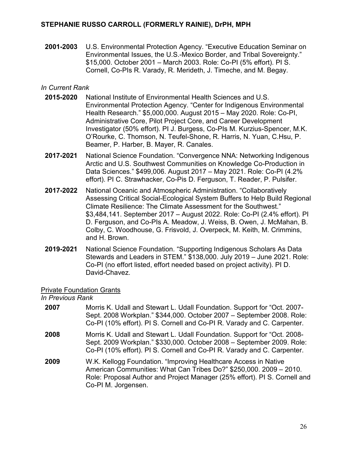**2001-2003** U.S. Environmental Protection Agency. "Executive Education Seminar on Environmental Issues, the U.S.-Mexico Border, and Tribal Sovereignty." \$15,000. October 2001 – March 2003. Role: Co-PI (5% effort). PI S. Cornell, Co-PIs R. Varady, R. Merideth, J. Timeche, and M. Begay.

#### *In Current Rank*

- **2015-2020** National Institute of Environmental Health Sciences and U.S. Environmental Protection Agency. "Center for Indigenous Environmental Health Research." \$5,000,000. August 2015 – May 2020. Role: Co-PI, Administrative Core, Pilot Project Core, and Career Development Investigator (50% effort). PI J. Burgess, Co-PIs M. Kurzius-Spencer, M.K. O'Rourke, C. Thomson, N. Teufel-Shone, R. Harris, N. Yuan, C.Hsu, P. Beamer, P. Harber, B. Mayer, R. Canales.
- **2017-2021** National Science Foundation. "Convergence NNA: Networking Indigenous Arctic and U.S. Southwest Communities on Knowledge Co-Production in Data Sciences." \$499,006. August 2017 – May 2021. Role: Co-PI (4.2% effort). PI C. Strawhacker, Co-Pis D. Ferguson, T. Reader, P. Pulsifer.
- **2017-2022** National Oceanic and Atmospheric Administration. "Collaboratively Assessing Critical Social-Ecological System Buffers to Help Build Regional Climate Resilience: The Climate Assessment for the Southwest." \$3,484,141. September 2017 – August 2022. Role: Co-PI (2.4% effort). PI D. Ferguson, and Co-PIs A. Meadow, J. Weiss, B. Owen, J. McMahan, B. Colby, C. Woodhouse, G. Frisvold, J. Overpeck, M. Keith, M. Crimmins, and H. Brown.
- **2019-2021** National Science Foundation. "Supporting Indigenous Scholars As Data Stewards and Leaders in STEM." \$138,000. July 2019 – June 2021. Role: Co-PI (no effort listed, effort needed based on project activity). PI D. David-Chavez.

#### Private Foundation Grants

Co-PI M. Jorgensen.

#### *In Previous Rank*

**2007** Morris K. Udall and Stewart L. Udall Foundation. Support for "Oct. 2007- Sept. 2008 Workplan." \$344,000. October 2007 – September 2008. Role: Co-PI (10% effort). PI S. Cornell and Co-PI R. Varady and C. Carpenter. **2008** Morris K. Udall and Stewart L. Udall Foundation. Support for "Oct. 2008- Sept. 2009 Workplan." \$330,000. October 2008 – September 2009. Role: Co-PI (10% effort). PI S. Cornell and Co-PI R. Varady and C. Carpenter. **2009** W.K. Kellogg Foundation. "Improving Healthcare Access in Native American Communities: What Can Tribes Do?" \$250,000. 2009 – 2010. Role: Proposal Author and Project Manager (25% effort). PI S. Cornell and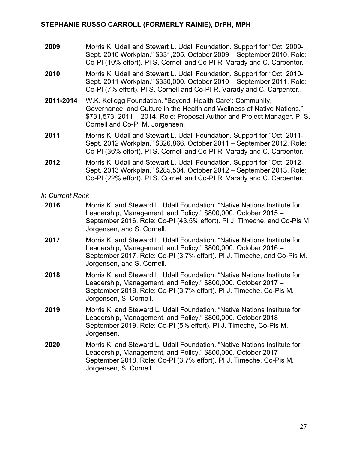- **2009** Morris K. Udall and Stewart L. Udall Foundation. Support for "Oct. 2009- Sept. 2010 Workplan." \$331,205. October 2009 – September 2010. Role: Co-PI (10% effort). PI S. Cornell and Co-PI R. Varady and C. Carpenter.
- **2010** Morris K. Udall and Stewart L. Udall Foundation. Support for "Oct. 2010- Sept. 2011 Workplan." \$330,000. October 2010 – September 2011. Role: Co-PI (7% effort). PI S. Cornell and Co-PI R. Varady and C. Carpenter..
- **2011-2014** W.K. Kellogg Foundation. "Beyond 'Health Care': Community, Governance, and Culture in the Health and Wellness of Native Nations." \$731,573. 2011 – 2014. Role: Proposal Author and Project Manager. PI S. Cornell and Co-PI M. Jorgensen.
- **2011** Morris K. Udall and Stewart L. Udall Foundation. Support for "Oct. 2011- Sept. 2012 Workplan." \$326,866. October 2011 – September 2012. Role: Co-PI (36% effort). PI S. Cornell and Co-PI R. Varady and C. Carpenter.
- **2012** Morris K. Udall and Stewart L. Udall Foundation. Support for "Oct. 2012- Sept. 2013 Workplan." \$285,504. October 2012 – September 2013. Role: Co-PI (22% effort). PI S. Cornell and Co-PI R. Varady and C. Carpenter.

| 2016 | Morris K. and Steward L. Udall Foundation. "Native Nations Institute for<br>Leadership, Management, and Policy." \$800,000. October 2015 -<br>September 2016. Role: Co-PI (43.5% effort). PI J. Timeche, and Co-Pis M.<br>Jorgensen, and S. Cornell. |
|------|------------------------------------------------------------------------------------------------------------------------------------------------------------------------------------------------------------------------------------------------------|
| 2017 | Morris K, and Steward L, Udall Foundation, "Native Nations Institute for<br>Leadership, Management, and Policy." \$800,000. October 2016 -<br>September 2017. Role: Co-PI (3.7% effort). PI J. Timeche, and Co-Pis M.<br>Jorgensen, and S. Cornell.  |
| 2018 | Morris K, and Steward L, Udall Foundation, "Native Nations Institute for<br>Leadership, Management, and Policy." \$800,000. October 2017 -<br>September 2018. Role: Co-PI (3.7% effort). PI J. Timeche, Co-Pis M.<br>Jorgensen, S. Cornell.          |
| 2019 | Morris K. and Steward L. Udall Foundation. "Native Nations Institute for<br>Leadership, Management, and Policy." \$800,000. October 2018 -<br>September 2019. Role: Co-PI (5% effort). PI J. Timeche, Co-Pis M.<br>Jorgensen.                        |
| 2020 | Morris K, and Steward L, Udall Foundation, "Native Nations Institute for<br>Leadership, Management, and Policy." \$800,000. October 2017 -<br>September 2018. Role: Co-PI (3.7% effort). PI J. Timeche, Co-Pis M.<br>Jorgensen, S. Cornell.          |
|      |                                                                                                                                                                                                                                                      |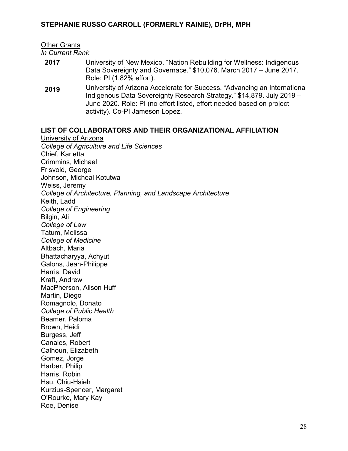Other Grants

*In Current Rank*

- **2017** University of New Mexico. "Nation Rebuilding for Wellness: Indigenous Data Sovereignty and Governace." \$10,076. March 2017 – June 2017. Role: PI (1.82% effort).
- **2019** University of Arizona Accelerate for Success. "Advancing an International Indigenous Data Sovereignty Research Strategy." \$14,879. July 2019 – June 2020. Role: PI (no effort listed, effort needed based on project activity). Co-PI Jameson Lopez.

#### **LIST OF COLLABORATORS AND THEIR ORGANIZATIONAL AFFILIATION**

University of Arizona *College of Agriculture and Life Sciences* Chief, Karletta Crimmins, Michael Frisvold, George Johnson, Micheal Kotutwa Weiss, Jeremy *College of Architecture, Planning, and Landscape Architecture* Keith, Ladd *College of Engineering* Bilgin, Ali *College of Law* Tatum, Melissa *College of Medicine* Altbach, Maria Bhattacharyya, Achyut Galons, Jean-Philippe Harris, David Kraft, Andrew MacPherson, Alison Huff Martin, Diego Romagnolo, Donato *College of Public Health* Beamer, Paloma Brown, Heidi Burgess, Jeff Canales, Robert Calhoun, Elizabeth Gomez, Jorge Harber, Philip Harris, Robin Hsu, Chiu-Hsieh Kurzius-Spencer, Margaret O'Rourke, Mary Kay Roe, Denise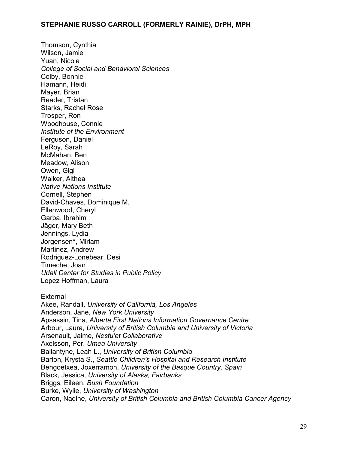Thomson, Cynthia Wilson, Jamie Yuan, Nicole *College of Social and Behavioral Sciences* Colby, Bonnie Hamann, Heidi Mayer, Brian Reader, Tristan Starks, Rachel Rose Trosper, Ron Woodhouse, Connie *Institute of the Environment* Ferguson, Daniel LeRoy, Sarah McMahan, Ben Meadow, Alison Owen, Gigi Walker, Althea *Native Nations Institute* Cornell, Stephen David-Chaves, Dominique M. Ellenwood, Cheryl Garba, Ibrahim Jäger, Mary Beth Jennings, Lydia Jorgensen\*, Miriam Martinez, Andrew Rodriguez-Lonebear, Desi Timeche, Joan *Udall Center for Studies in Public Policy* Lopez Hoffman, Laura

#### External

Akee, Randall, *University of California, Los Angeles*  Anderson, Jane, *New York University* Apsassin, Tina, *Alberta First Nations Information Governance Centre* Arbour, Laura, *University of British Columbia and University of Victoria* Arsenault, Jaime, *Nestu'et Collaborative*  Axelsson, Per, *Umea University* Ballantyne, Leah L., *University of British Columbia* Barton, Krysta S., *Seattle Children's Hospital and Research Institute* Bengoetxea, Joxerramon, *University of the Basque Country, Spain* Black, Jessica, *University of Alaska, Fairbanks* Briggs*,* Eileen, *Bush Foundation* Burke, Wylie, *University of Washington* Caron, Nadine, *University of British Columbia and British Columbia Cancer Agency*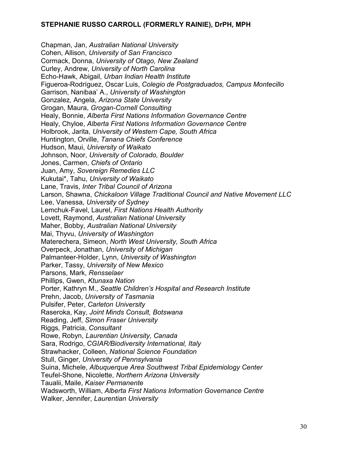Chapman, Jan, *Australian National University* Cohen, Allison, *University of San Francisco* Cormack, Donna, *University of Otago, New Zealand* Curley, Andrew, *University of North Carolina* Echo-Hawk, Abigail, *Urban Indian Health Institute* Figueroa-Rodríguez, Oscar Luis, *Colegio de Postgraduados, Campus Montecillo* Garrison, Nanibaa' A., *University of Washington* Gonzalez*,* Angela, *Arizona State University*  Grogan, Maura, *Grogan-Cornell Consulting* Healy, Bonnie, *Alberta First Nations Information Governance Centre* Healy, Chyloe, *Alberta First Nations Information Governance Centre* Holbrook, Jarita, *University of Western Cape, South Africa* Huntington, Orville, *Tanana Chiefs Conference* Hudson, Maui, *University of Waikato* Johnson, Noor, *University of Colorado, Boulder* Jones, Carmen, *Chiefs of Ontario* Juan, Amy, *Sovereign Remedies LLC* Kukutai\*, Tahu, *University of Waikato* Lane, Travis, *Inter Tribal Council of Arizona* Larson, Shawna, *Chickaloon Village Traditional Council and Native Movement LLC* Lee, Vanessa, *University of Sydney* Lemchuk-Favel, Laurel, *First Nations Health Authority* Lovett, Raymond, *Australian National University* Maher, Bobby, *Australian National University* Mai, Thyvu, *University of Washington* Materechera, Simeon, *North West University, South Africa* Overpeck, Jonathan, *University of Michigan* Palmanteer-Holder, Lynn, *University of Washington* Parker, Tassy, *University of New Mexico* Parsons, Mark, *Rensselaer* Phillips, Gwen, *Ktunaxa Nation*  Porter, Kathryn M., *Seattle Children's Hospital and Research Institute* Prehn, Jacob, *University of Tasmania* Pulsifer, Peter, *Carleton University* Raseroka, Kay, *Joint Minds Consult, Botswana* Reading, Jeff, *Simon Fraser University* Riggs*,* Patricia, *Consultant* Rowe, Robyn, *Laurentian University, Canada* Sara, Rodrigo, *CGIAR/Biodiversity International, Italy* Strawhacker, Colleen, *National Science Foundation* Stull, Ginger, *University of Pennsylvania* Suina, Michele, *Albuquerque Area Southwest Tribal Epidemiology Center*  Teufel-Shone, Nicolette, *Northern Arizona University* Taualii, Maile, *Kaiser Permanente*  Wadsworth, William, *Alberta First Nations Information Governance Centre* Walker, Jennifer, *Laurentian University*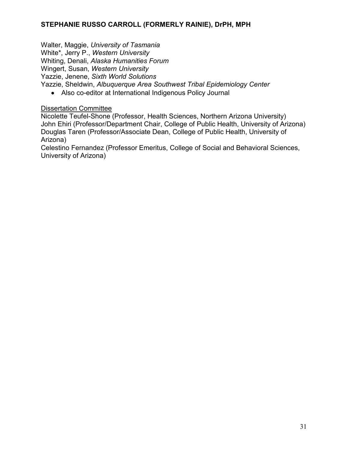Walter, Maggie, *University of Tasmania* White\*, Jerry P., *Western University* Whiting, Denali, *Alaska Humanities Forum* Wingert, Susan, *Western University* Yazzie, Jenene, *Sixth World Solutions* Yazzie, Sheldwin, *Albuquerque Area Southwest Tribal Epidemiology Center*

• Also co-editor at International Indigenous Policy Journal

#### Dissertation Committee

Nicolette Teufel-Shone (Professor, Health Sciences, Northern Arizona University) John Ehiri (Professor/Department Chair, College of Public Health, University of Arizona) Douglas Taren (Professor/Associate Dean, College of Public Health, University of Arizona)

Celestino Fernandez (Professor Emeritus, College of Social and Behavioral Sciences, University of Arizona)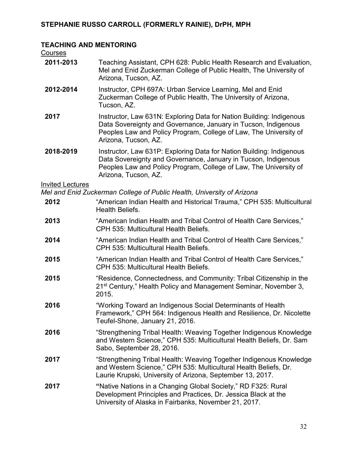#### **TEACHING AND MENTORING**

**Courses** 

| 2011-2013 | Teaching Assistant, CPH 628: Public Health Research and Evaluation, |
|-----------|---------------------------------------------------------------------|
|           | Mel and Enid Zuckerman College of Public Health, The University of  |
|           | Arizona, Tucson, AZ.                                                |

- **2012-2014** Instructor, CPH 697A: Urban Service Learning, Mel and Enid Zuckerman College of Public Health, The University of Arizona, Tucson, AZ.
- **2017** Instructor, Law 631N: Exploring Data for Nation Building: Indigenous Data Sovereignty and Governance, January in Tucson, Indigenous Peoples Law and Policy Program, College of Law, The University of Arizona, Tucson, AZ.
- **2018-2019** Instructor, Law 631P: Exploring Data for Nation Building: Indigenous Data Sovereignty and Governance, January in Tucson, Indigenous Peoples Law and Policy Program, College of Law, The University of Arizona, Tucson, AZ.

#### Invited Lectures

*Mel and Enid Zuckerman College of Public Health, University of Arizona*

- **2012** "American Indian Health and Historical Trauma," CPH 535: Multicultural Health Beliefs.
- **2013** "American Indian Health and Tribal Control of Health Care Services," CPH 535: Multicultural Health Beliefs.
- **2014** "American Indian Health and Tribal Control of Health Care Services," CPH 535: Multicultural Health Beliefs.
- **2015** "American Indian Health and Tribal Control of Health Care Services," CPH 535: Multicultural Health Beliefs.
- **2015** "Residence, Connectedness, and Community: Tribal Citizenship in the 21st Century," Health Policy and Management Seminar, November 3, 2015.
- **2016** "Working Toward an Indigenous Social Determinants of Health Framework," CPH 564: Indigenous Health and Resilience, Dr. Nicolette Teufel-Shone, January 21, 2016.
- **2016** "Strengthening Tribal Health: Weaving Together Indigenous Knowledge and Western Science," CPH 535: Multicultural Health Beliefs, Dr. Sam Sabo, September 28, 2016.
- **2017** "Strengthening Tribal Health: Weaving Together Indigenous Knowledge and Western Science," CPH 535: Multicultural Health Beliefs, Dr. Laurie Krupski, University of Arizona, September 13, 2017.
- **2017 "**Native Nations in a Changing Global Society," RD F325: Rural Development Principles and Practices, Dr. Jessica Black at the University of Alaska in Fairbanks, November 21, 2017.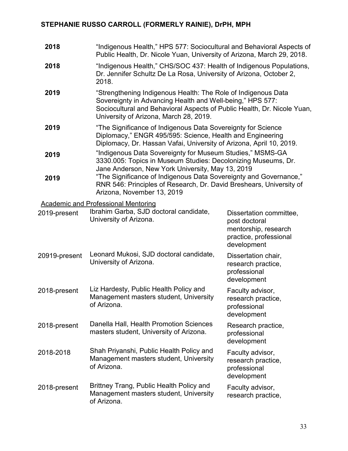| 2018          | "Indigenous Health," HPS 577: Sociocultural and Behavioral Aspects of<br>Public Health, Dr. Nicole Yuan, University of Arizona, March 29, 2018.                                                                                                 |                                                                                                           |  |
|---------------|-------------------------------------------------------------------------------------------------------------------------------------------------------------------------------------------------------------------------------------------------|-----------------------------------------------------------------------------------------------------------|--|
| 2018          | "Indigenous Health," CHS/SOC 437: Health of Indigenous Populations,<br>Dr. Jennifer Schultz De La Rosa, University of Arizona, October 2,<br>2018.                                                                                              |                                                                                                           |  |
| 2019          | "Strengthening Indigenous Health: The Role of Indigenous Data<br>Sovereignty in Advancing Health and Well-being," HPS 577:<br>Sociocultural and Behavioral Aspects of Public Health, Dr. Nicole Yuan,<br>University of Arizona, March 28, 2019. |                                                                                                           |  |
| 2019          | "The Significance of Indigenous Data Sovereignty for Science<br>Diplomacy," ENGR 495/595: Science, Health and Engineering<br>Diplomacy, Dr. Hassan Vafai, University of Arizona, April 10, 2019.                                                |                                                                                                           |  |
| 2019          | "Indigenous Data Sovereignty for Museum Studies," MSMS-GA<br>3330.005: Topics in Museum Studies: Decolonizing Museums, Dr.<br>Jane Anderson, New York University, May 13, 2019                                                                  |                                                                                                           |  |
| 2019          | "The Significance of Indigenous Data Sovereignty and Governance,"<br>RNR 546: Principles of Research, Dr. David Breshears, University of<br>Arizona, November 13, 2019                                                                          |                                                                                                           |  |
|               | <b>Academic and Professional Mentoring</b>                                                                                                                                                                                                      |                                                                                                           |  |
| 2019-present  | Ibrahim Garba, SJD doctoral candidate,<br>University of Arizona.                                                                                                                                                                                | Dissertation committee,<br>post doctoral<br>mentorship, research<br>practice, professional<br>development |  |
| 20919-present | Leonard Mukosi, SJD doctoral candidate,<br>University of Arizona.                                                                                                                                                                               | Dissertation chair,<br>research practice,<br>professional<br>development                                  |  |
| 2018-present  | Liz Hardesty, Public Health Policy and<br>Management masters student, University<br>of Arizona.                                                                                                                                                 | Faculty advisor,<br>research practice,<br>professional<br>development                                     |  |
| 2018-present  | Danella Hall, Health Promotion Sciences<br>masters student, University of Arizona.                                                                                                                                                              | Research practice,<br>professional<br>development                                                         |  |
| 2018-2018     | Shah Priyanshi, Public Health Policy and<br>Management masters student, University<br>of Arizona.                                                                                                                                               | Faculty advisor,<br>research practice,<br>professional<br>development                                     |  |
| 2018-present  | Brittney Trang, Public Health Policy and<br>Management masters student, University<br>of Arizona.                                                                                                                                               | Faculty advisor,<br>research practice,                                                                    |  |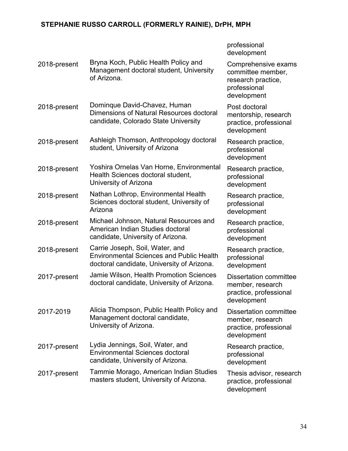professional development

| 2018-present | Bryna Koch, Public Health Policy and<br>Management doctoral student, University<br>of Arizona.                                   | Comprehensive exams<br>committee member,<br>research practice,<br>professional<br>development |
|--------------|----------------------------------------------------------------------------------------------------------------------------------|-----------------------------------------------------------------------------------------------|
| 2018-present | Dominque David-Chavez, Human<br>Dimensions of Natural Resources doctoral<br>candidate, Colorado State University                 | Post doctoral<br>mentorship, research<br>practice, professional<br>development                |
| 2018-present | Ashleigh Thomson, Anthropology doctoral<br>student, University of Arizona                                                        | Research practice,<br>professional<br>development                                             |
| 2018-present | Yoshira Ornelas Van Horne, Environmental<br>Health Sciences doctoral student,<br>University of Arizona                           | Research practice,<br>professional<br>development                                             |
| 2018-present | Nathan Lothrop, Environmental Health<br>Sciences doctoral student, University of<br>Arizona                                      | Research practice,<br>professional<br>development                                             |
| 2018-present | Michael Johnson, Natural Resources and<br>American Indian Studies doctoral<br>candidate, University of Arizona.                  | Research practice,<br>professional<br>development                                             |
| 2018-present | Carrie Joseph, Soil, Water, and<br><b>Environmental Sciences and Public Health</b><br>doctoral candidate, University of Arizona. | Research practice,<br>professional<br>development                                             |
| 2017-present | Jamie Wilson, Health Promotion Sciences<br>doctoral candidate, University of Arizona.                                            | <b>Dissertation committee</b><br>member, research<br>practice, professional<br>development    |
| 2017-2019    | Alicia Thompson, Public Health Policy and<br>Management doctoral candidate,<br>University of Arizona.                            | <b>Dissertation committee</b><br>member, research<br>practice, professional<br>development    |
| 2017-present | Lydia Jennings, Soil, Water, and<br><b>Environmental Sciences doctoral</b><br>candidate, University of Arizona.                  | Research practice,<br>professional<br>development                                             |
| 2017-present | Tammie Morago, American Indian Studies<br>masters student, University of Arizona.                                                | Thesis advisor, research<br>practice, professional<br>development                             |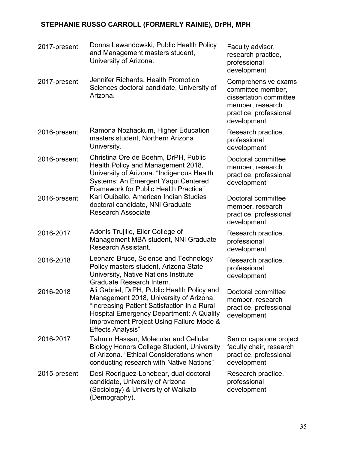| 2017-present | Donna Lewandowski, Public Health Policy<br>and Management masters student,<br>University of Arizona.                                                                                                                                                             | Faculty advisor,<br>research practice,<br>professional<br>development                                                           |
|--------------|------------------------------------------------------------------------------------------------------------------------------------------------------------------------------------------------------------------------------------------------------------------|---------------------------------------------------------------------------------------------------------------------------------|
| 2017-present | Jennifer Richards, Health Promotion<br>Sciences doctoral candidate, University of<br>Arizona.                                                                                                                                                                    | Comprehensive exams<br>committee member,<br>dissertation committee<br>member, research<br>practice, professional<br>development |
| 2016-present | Ramona Nozhackum, Higher Education<br>masters student, Northern Arizona<br>University.                                                                                                                                                                           | Research practice,<br>professional<br>development                                                                               |
| 2016-present | Christina Ore de Boehm, DrPH, Public<br>Health Policy and Management 2018,<br>University of Arizona. "Indigenous Health<br><b>Systems: An Emergent Yaqui Centered</b><br><b>Framework for Public Health Practice"</b>                                            | Doctoral committee<br>member, research<br>practice, professional<br>development                                                 |
| 2016-present | Kari Quiballo, American Indian Studies<br>doctoral candidate, NNI Graduate<br><b>Research Associate</b>                                                                                                                                                          | Doctoral committee<br>member, research<br>practice, professional<br>development                                                 |
| 2016-2017    | Adonis Trujillo, Eller College of<br>Management MBA student, NNI Graduate<br><b>Research Assistant.</b>                                                                                                                                                          | Research practice,<br>professional<br>development                                                                               |
| 2016-2018    | Leonard Bruce, Science and Technology<br>Policy masters student, Arizona State<br>University, Native Nations Institute<br>Graduate Research Intern.                                                                                                              | Research practice,<br>professional<br>development                                                                               |
| 2016-2018    | Ali Gabriel, DrPH, Public Health Policy and<br>Management 2018, University of Arizona.<br>"Increasing Patient Satisfaction in a Rural<br><b>Hospital Emergency Department: A Quality</b><br>Improvement Project Using Failure Mode &<br><b>Effects Analysis"</b> | Doctoral committee<br>member, research<br>practice, professional<br>development                                                 |
| 2016-2017    | <b>Tahmin Hassan, Molecular and Cellular</b><br><b>Biology Honors College Student, University</b><br>of Arizona. "Ethical Considerations when<br>conducting research with Native Nations"                                                                        | Senior capstone project<br>faculty chair, research<br>practice, professional<br>development                                     |
| 2015-present | Desi Rodriguez-Lonebear, dual doctoral<br>candidate, University of Arizona<br>(Sociology) & University of Waikato<br>(Demography).                                                                                                                               | Research practice,<br>professional<br>development                                                                               |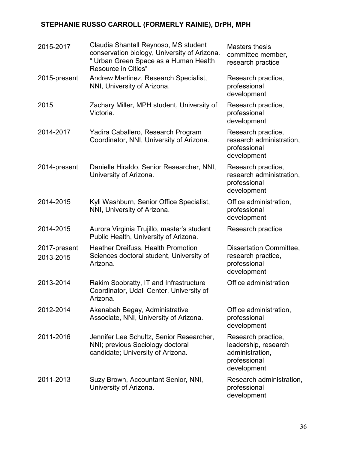| 2015-2017                 | Claudia Shantall Reynoso, MS student<br>conservation biology, University of Arizona.<br>" Urban Green Space as a Human Health<br>Resource in Cities" | Masters thesis<br>committee member,<br>research practice                                     |
|---------------------------|------------------------------------------------------------------------------------------------------------------------------------------------------|----------------------------------------------------------------------------------------------|
| 2015-present              | Andrew Martinez, Research Specialist,<br>NNI, University of Arizona.                                                                                 | Research practice,<br>professional<br>development                                            |
| 2015                      | Zachary Miller, MPH student, University of<br>Victoria.                                                                                              | Research practice,<br>professional<br>development                                            |
| 2014-2017                 | Yadira Caballero, Research Program<br>Coordinator, NNI, University of Arizona.                                                                       | Research practice,<br>research administration,<br>professional<br>development                |
| 2014-present              | Danielle Hiraldo, Senior Researcher, NNI,<br>University of Arizona.                                                                                  | Research practice,<br>research administration,<br>professional<br>development                |
| 2014-2015                 | Kyli Washburn, Senior Office Specialist,<br>NNI, University of Arizona.                                                                              | Office administration,<br>professional<br>development                                        |
| 2014-2015                 | Aurora Virginia Trujillo, master's student<br>Public Health, University of Arizona.                                                                  | Research practice                                                                            |
| 2017-present<br>2013-2015 | <b>Heather Dreifuss, Health Promotion</b><br>Sciences doctoral student, University of<br>Arizona.                                                    | Dissertation Committee,<br>research practice,<br>professional<br>development                 |
| 2013-2014                 | Rakim Soobratty, IT and Infrastructure<br>Coordinator, Udall Center, University of<br>Arizona.                                                       | Office administration                                                                        |
| 2012-2014                 | Akenabah Begay, Administrative<br>Associate, NNI, University of Arizona.                                                                             | Office administration,<br>professional<br>development                                        |
| 2011-2016                 | Jennifer Lee Schultz, Senior Researcher,<br>NNI; previous Sociology doctoral<br>candidate; University of Arizona.                                    | Research practice,<br>leadership, research<br>administration,<br>professional<br>development |
| 2011-2013                 | Suzy Brown, Accountant Senior, NNI,<br>University of Arizona.                                                                                        | Research administration,<br>professional<br>development                                      |